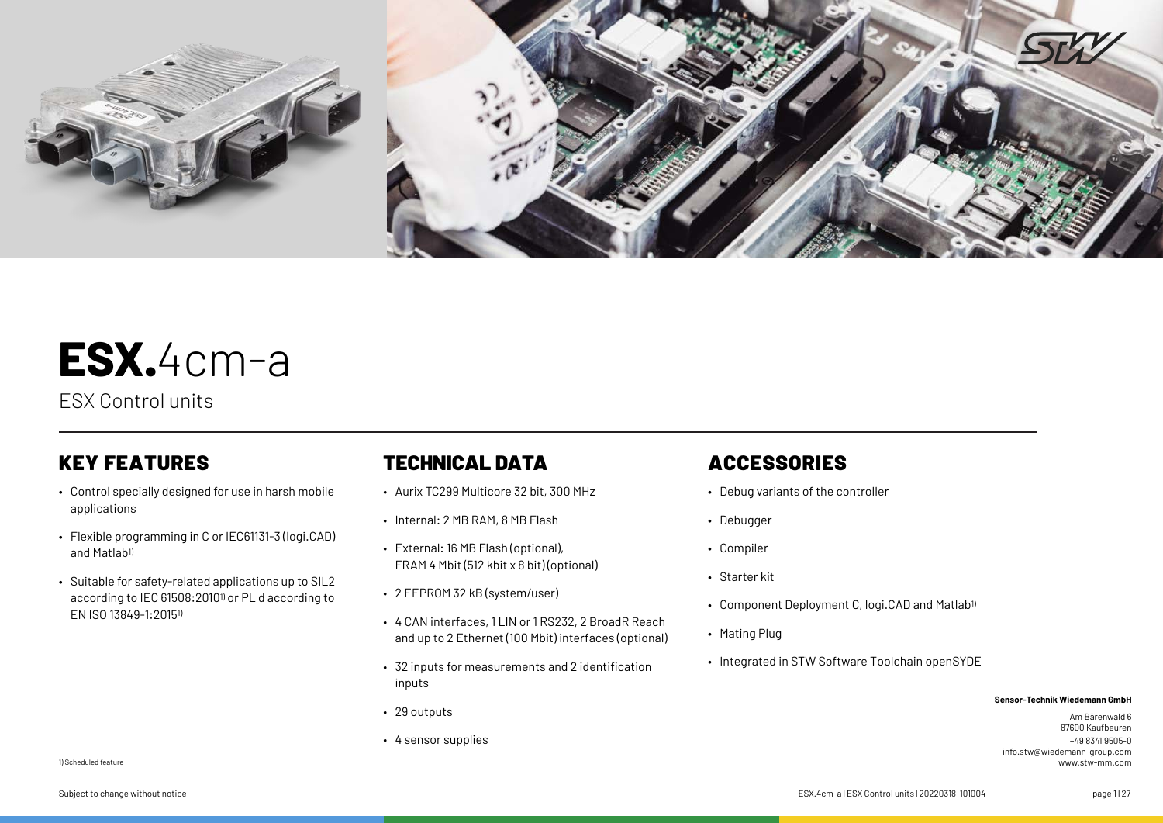

# **ESX.**4cm-a

ESX Control units

- Control specially designed for use in harsh mobile applications
- Flexible programming in C or IEC61131-3 (logi.CAD) and Matlab<sup>1)</sup>
- Suitable for safety-related applications up to SIL2 according to IEC 61508:20101) or PL d according to EN ISO 13849-1:20151)

### KEY FEATURES **TECHNICAL DATA** ACCESSORIES

- Aurix TC299 Multicore 32 bit, 300 MHz
- Internal: 2 MB RAM, 8 MB Flash
- External: 16 MB Flash (optional), FRAM 4 Mbit (512 kbit x 8 bit) (optional)
- 2 EEPROM 32 kB (system/user)
- 4 CAN interfaces, 11 IN or 1 RS232, 2 BroadR Reach and up to 2 Ethernet (100 Mbit) interfaces (optional)
- 32 inputs for measurements and 2 identification inputs
- 29 outputs
- 4 sensor supplies

- Debug variants of the controller
- Debugger
- Compiler
- Starter kit
- Component Deployment C, logi.CAD and Matlab<sup>1)</sup>
- Mating Plug
- Integrated in STW Software Toolchain openSYDE

#### **Sensor-Technik Wiedemann GmbH**

Am Bärenwald 6 87600 Kaufbeuren +49 8341 9505-0 info.stw@wiedemann-group.com www.stw-mm.com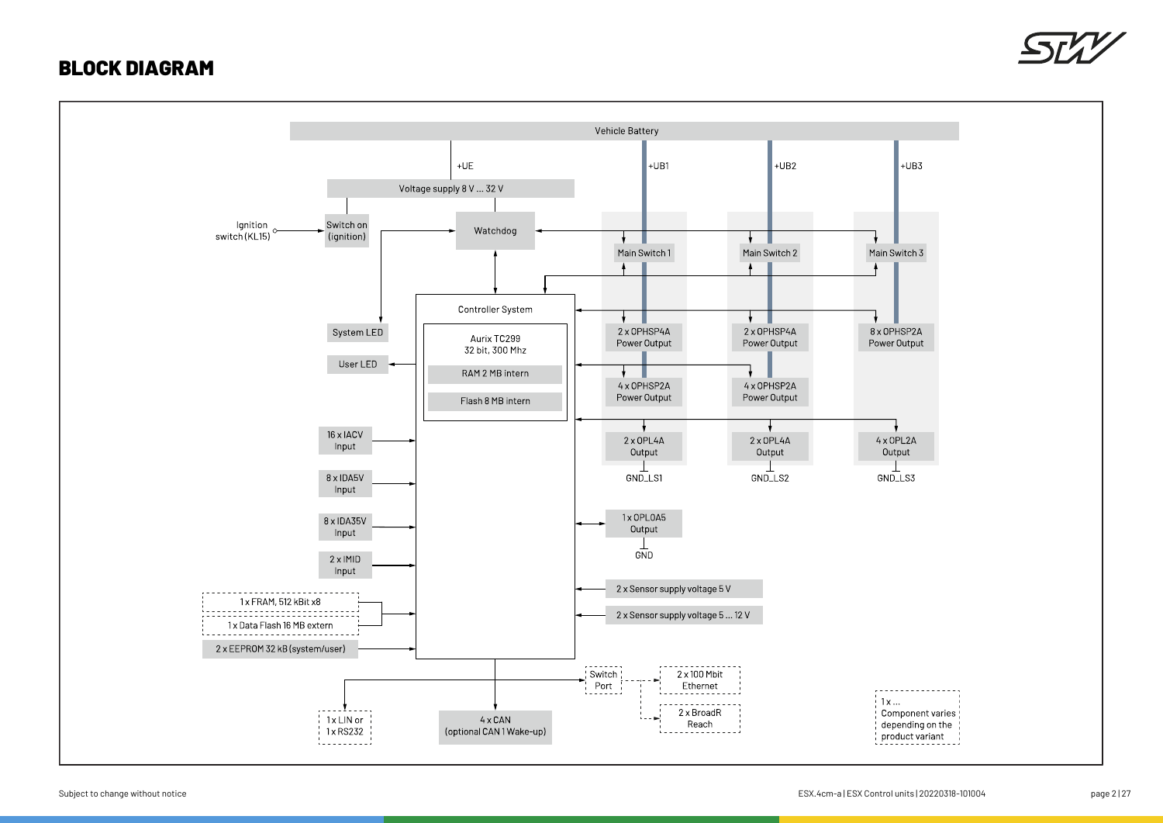### BLOCK DIAGRAM



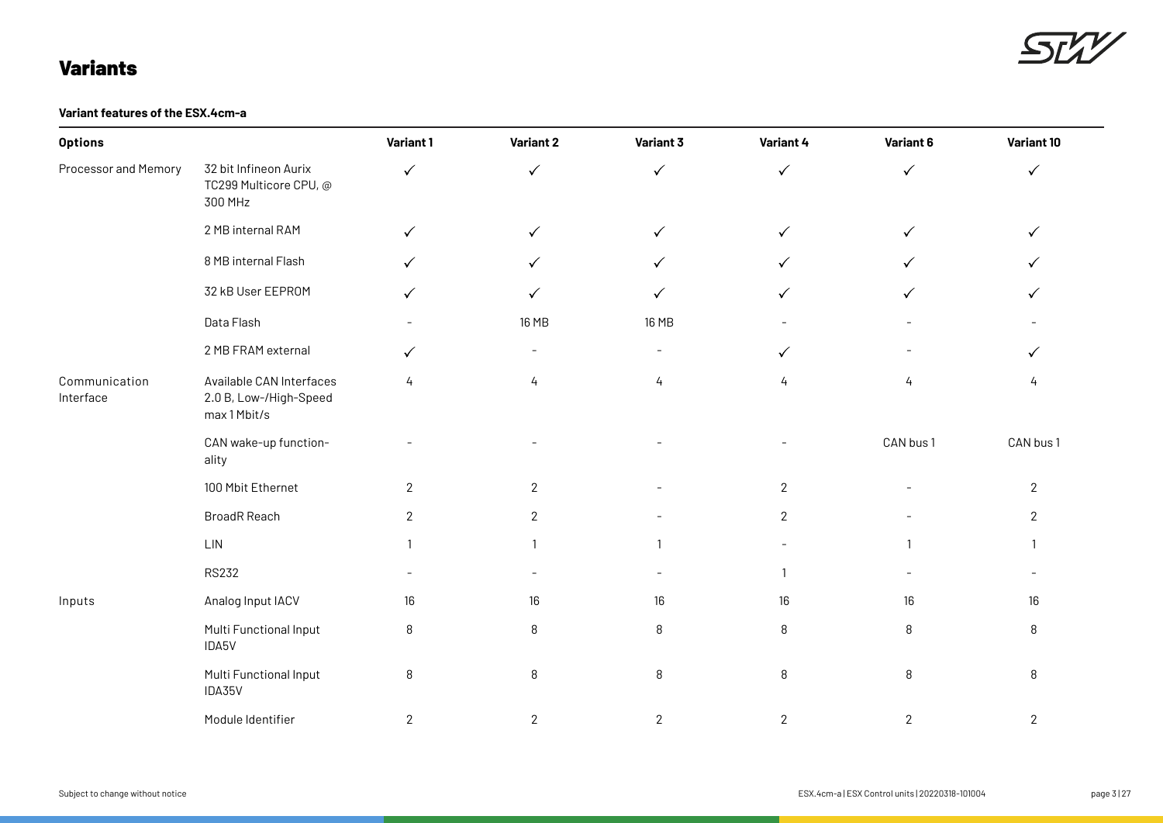### Variants

SLV

#### **Variant features of the ESX.4cm-a**

| <b>Options</b>             |                                                                    | Variant 1    | Variant 2                | Variant 3                | Variant 4    | Variant 6    | Variant 10     |
|----------------------------|--------------------------------------------------------------------|--------------|--------------------------|--------------------------|--------------|--------------|----------------|
| Processor and Memory       | 32 bit Infineon Aurix<br>TC299 Multicore CPU, @<br>300 MHz         | $\checkmark$ | $\checkmark$             | $\checkmark$             | $\checkmark$ | $\checkmark$ | $\checkmark$   |
|                            | 2 MB internal RAM                                                  | $\checkmark$ | $\checkmark$             | $\checkmark$             | $\checkmark$ | $\checkmark$ | $\checkmark$   |
|                            | 8 MB internal Flash                                                | $\checkmark$ | $\checkmark$             | $\checkmark$             | $\checkmark$ | $\checkmark$ | $\checkmark$   |
|                            | 32 kB User EEPROM                                                  | ✓            | $\checkmark$             | ✓                        | $\checkmark$ | ✓            | $\checkmark$   |
|                            | Data Flash                                                         |              | 16 MB                    | 16 MB                    |              |              |                |
|                            | 2 MB FRAM external                                                 | $\checkmark$ | $\overline{\phantom{a}}$ | $\overline{\phantom{a}}$ | $\checkmark$ |              | $\checkmark$   |
| Communication<br>Interface | Available CAN Interfaces<br>2.0 B, Low-/High-Speed<br>max 1 Mbit/s | 4            | 4                        | 4                        | 4            | 4            | 4              |
|                            | CAN wake-up function-<br>ality                                     |              |                          |                          |              | CAN bus 1    | CAN bus 1      |
|                            | 100 Mbit Ethernet                                                  | $\mathbf{2}$ | $\sqrt{2}$               |                          | $\mathbf{2}$ |              | $\overline{2}$ |
|                            | <b>BroadR Reach</b>                                                | $\sqrt{2}$   | $\sqrt{2}$               |                          | $\mathbf{2}$ |              | $\overline{2}$ |
|                            | $\mathsf{LIN}$                                                     | $\mathbf{1}$ |                          | $\mathbf{1}$             |              | $\mathbf{1}$ | $\mathbf{1}$   |
|                            | <b>RS232</b>                                                       |              |                          |                          | -1           |              |                |
| Inputs                     | Analog Input IACV                                                  | $16\,$       | $16\,$                   | 16                       | $16\,$       | $16\,$       | 16             |
|                            | Multi Functional Input<br>IDA5V                                    | 8            | 8                        | 8                        | 8            | $\, 8$       | 8              |
|                            | Multi Functional Input<br>IDA35V                                   | $\, 8$       | 8                        | $\, 8$                   | $\, 8$       | $\, 8$       | 8              |
|                            | Module Identifier                                                  | $\mathbf{2}$ | $\mathbf{2}$             | $\mathbf{2}$             | $\mathbf{2}$ | $\mathbf{2}$ | $\mathbf{2}$   |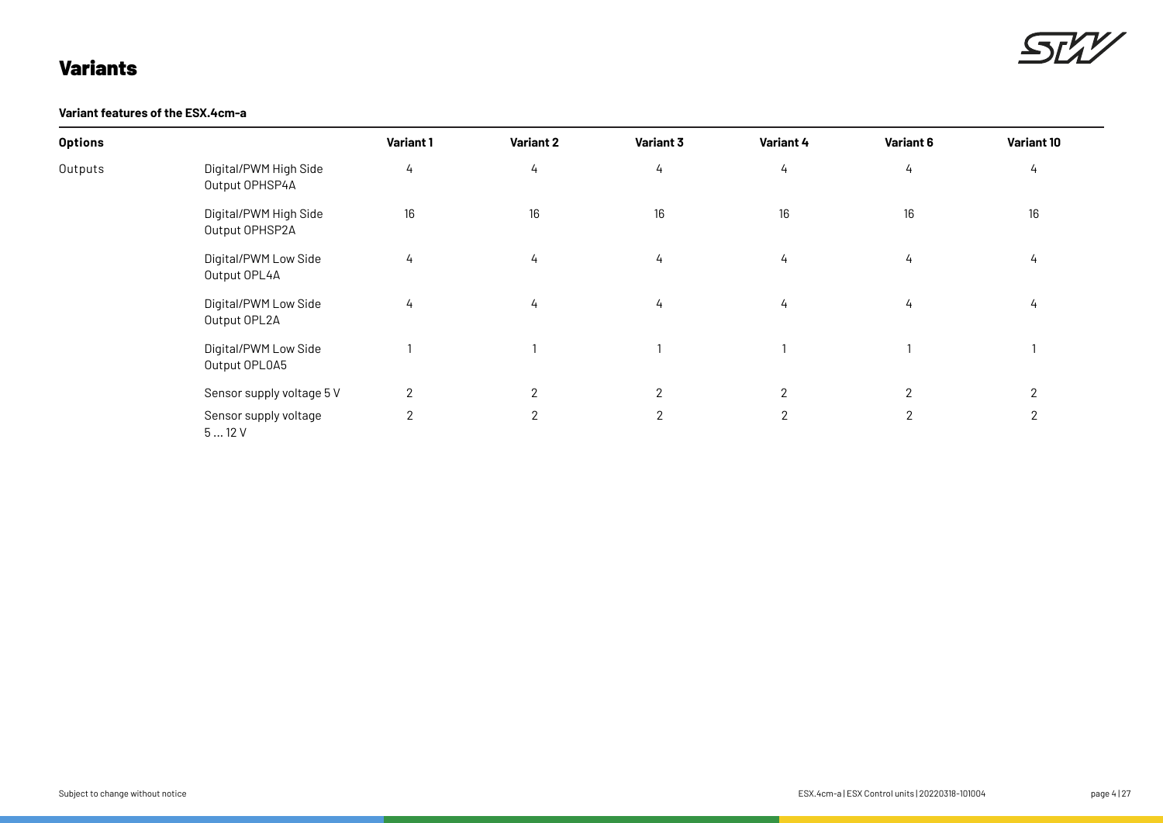### Variants



**Variant features of the ESX.4cm-a**

| <b>Options</b> |                                         | Variant 1     | Variant 2      | Variant 3      | Variant 4    | Variant 6      | Variant 10     |
|----------------|-----------------------------------------|---------------|----------------|----------------|--------------|----------------|----------------|
| Outputs        | Digital/PWM High Side<br>Output OPHSP4A | 4             | 4              | $\frac{1}{4}$  | 4            | 4              | 4              |
|                | Digital/PWM High Side<br>Output OPHSP2A | 16            | $16\,$         | 16             | 16           | 16             | 16             |
|                | Digital/PWM Low Side<br>Output OPL4A    | $\frac{1}{4}$ | 4              | $\frac{1}{4}$  | 4            | 4              | 4              |
|                | Digital/PWM Low Side<br>Output OPL2A    | $\frac{1}{4}$ | 4              | $\frac{1}{4}$  | 4            | 4              | 4              |
|                | Digital/PWM Low Side<br>Output OPLOA5   |               |                |                |              |                |                |
|                | Sensor supply voltage 5 V               | $\mathbf{2}$  | $\overline{2}$ | $\overline{2}$ | $\mathbf{2}$ | $\overline{2}$ | $\overline{2}$ |
|                | Sensor supply voltage<br>512V           | $\mathbf{2}$  | $\overline{2}$ | $\mathbf{2}$   | $\mathbf{2}$ | $\mathbf{2}$   | 2              |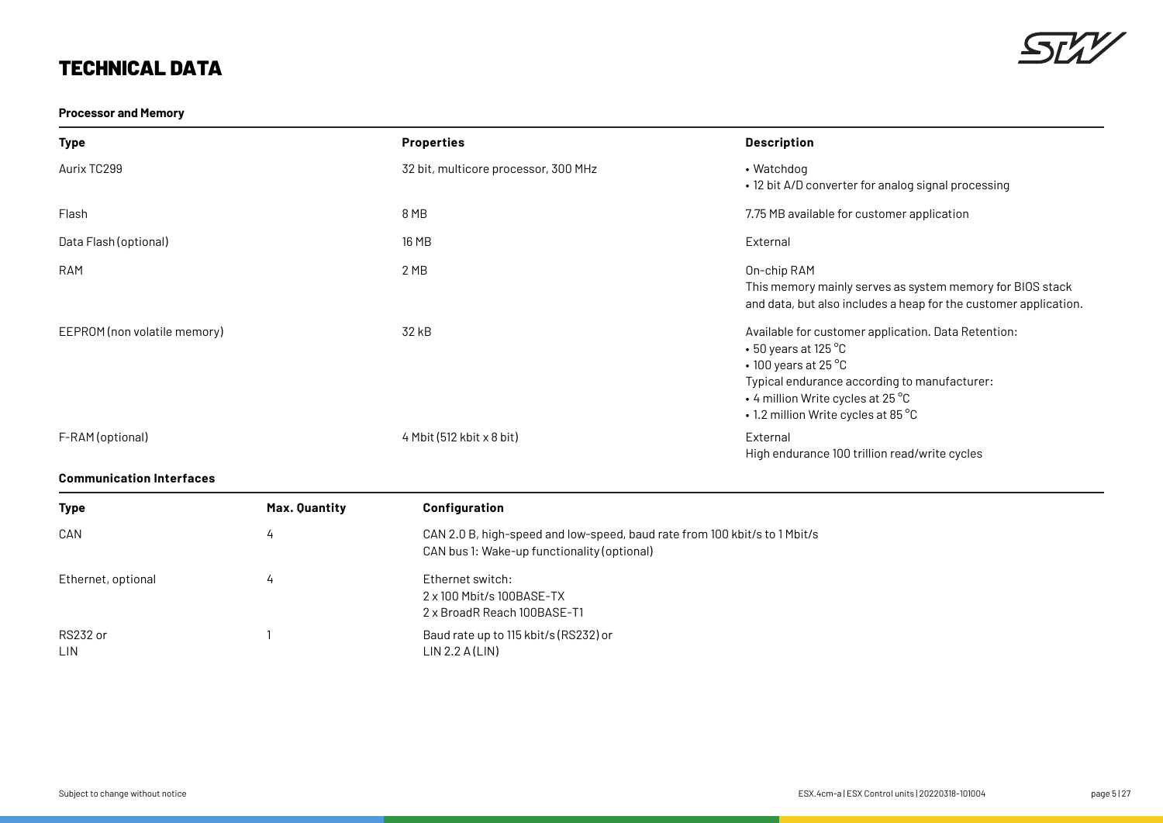### **Processor and Memory**



| Type                         | <b>Properties</b>                    | <b>Description</b>                                                                                                                                                                                                                                |
|------------------------------|--------------------------------------|---------------------------------------------------------------------------------------------------------------------------------------------------------------------------------------------------------------------------------------------------|
| Aurix TC299                  | 32 bit, multicore processor, 300 MHz | • Watchdog<br>• 12 bit A/D converter for analog signal processing                                                                                                                                                                                 |
| Flash                        | 8 MB                                 | 7.75 MB available for customer application                                                                                                                                                                                                        |
| Data Flash (optional)        | 16 MB                                | External                                                                                                                                                                                                                                          |
| <b>RAM</b>                   | 2 MB                                 | On-chip RAM<br>This memory mainly serves as system memory for BIOS stack<br>and data, but also includes a heap for the customer application.                                                                                                      |
| EEPROM (non volatile memory) | 32 kB                                | Available for customer application. Data Retention:<br>$\cdot$ 50 years at 125 °C<br>$\cdot$ 100 years at 25 °C<br>Typical endurance according to manufacturer:<br>$\cdot$ 4 million Write cycles at 25 °C<br>• 1.2 million Write cycles at 85 °C |
| F-RAM (optional)             | $4$ Mbit (512 kbit x 8 bit)          | External<br>High endurance 100 trillion read/write cycles                                                                                                                                                                                         |

### **Communication Interfaces**

| <b>Type</b>            | Max. Quantity | <b>Configuration</b>                                                                                                      |
|------------------------|---------------|---------------------------------------------------------------------------------------------------------------------------|
| CAN                    | 4             | CAN 2.0 B, high-speed and low-speed, baud rate from 100 kbit/s to 1 Mbit/s<br>CAN bus 1: Wake-up functionality (optional) |
| Ethernet, optional     |               | Ethernet switch:<br>2 x 100 Mbit/s 100BASE-TX<br>2 x BroadR Reach 100BASE-T1                                              |
| RS232 or<br><b>LIN</b> |               | Baud rate up to 115 kbit/s (RS232) or<br>LIN 2.2 A(LIN)                                                                   |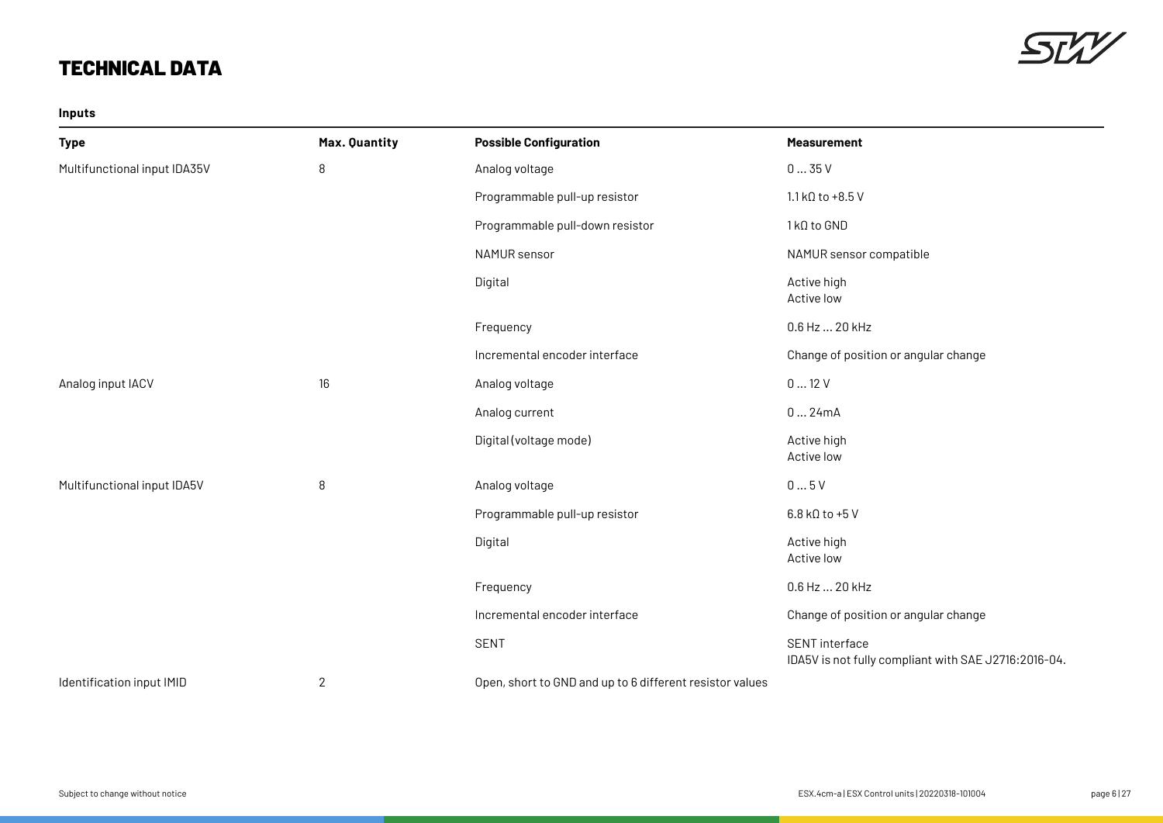**Inputs**



| <b>Type</b>                  | Max. Quantity | <b>Possible Configuration</b>                            | <b>Measurement</b>                                                            |
|------------------------------|---------------|----------------------------------------------------------|-------------------------------------------------------------------------------|
| Multifunctional input IDA35V | 8             | Analog voltage                                           | 035V                                                                          |
|                              |               | Programmable pull-up resistor                            | $1.1$ kQ to +8.5 V                                                            |
|                              |               | Programmable pull-down resistor                          | 1 kΩ to GND                                                                   |
|                              |               | NAMUR sensor                                             | NAMUR sensor compatible                                                       |
|                              |               | Digital                                                  | Active high<br>Active low                                                     |
|                              |               | Frequency                                                | 0.6 Hz  20 kHz                                                                |
|                              |               | Incremental encoder interface                            | Change of position or angular change                                          |
| Analog input IACV            | 16            | Analog voltage                                           | 012V                                                                          |
|                              |               | Analog current                                           | 024mA                                                                         |
|                              |               | Digital (voltage mode)                                   | Active high<br>Active low                                                     |
| Multifunctional input IDA5V  | 8             | Analog voltage                                           | 05V                                                                           |
|                              |               | Programmable pull-up resistor                            | $6.8$ kQ to +5 V                                                              |
|                              |               | Digital                                                  | Active high<br>Active low                                                     |
|                              |               | Frequency                                                | 0.6 Hz  20 kHz                                                                |
|                              |               | Incremental encoder interface                            | Change of position or angular change                                          |
|                              |               | <b>SENT</b>                                              | <b>SENT</b> interface<br>IDA5V is not fully compliant with SAE J2716:2016-04. |
| Identification input IMID    | $\mathbf 2$   | Open, short to GND and up to 6 different resistor values |                                                                               |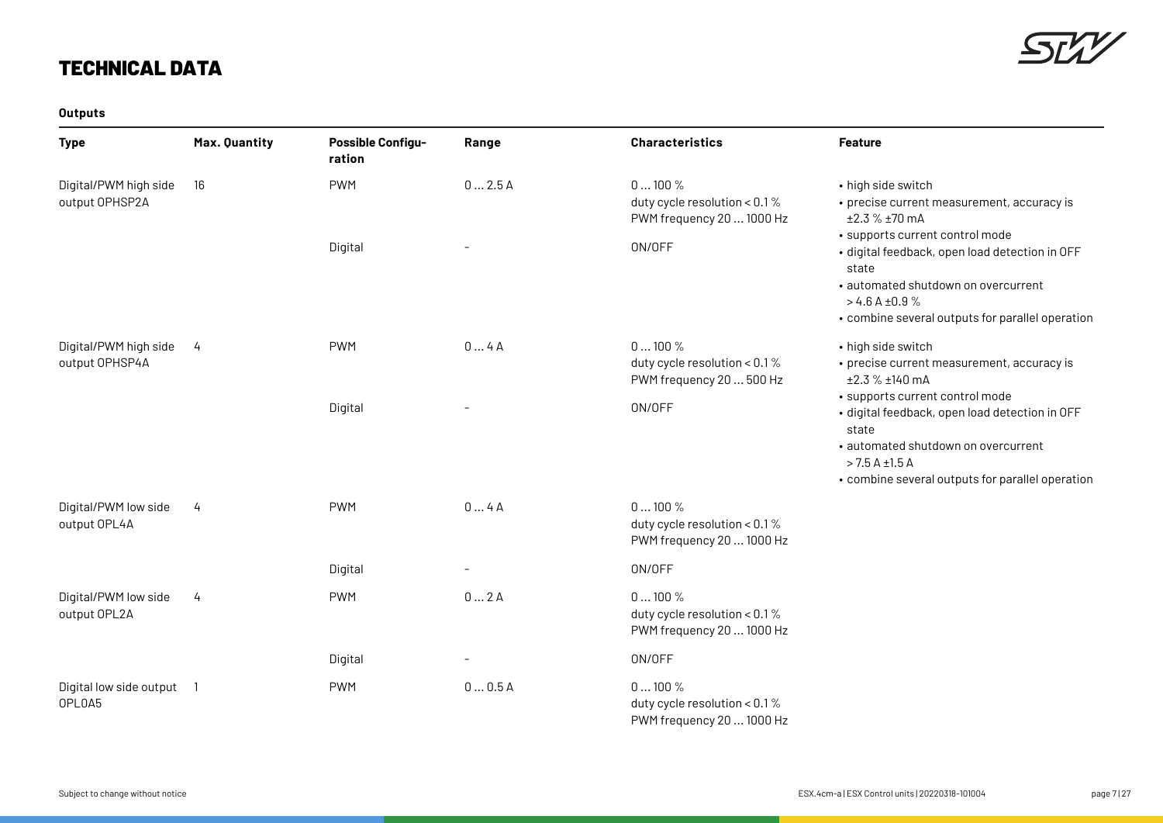

### **Outputs**

| <b>Type</b>                             | Max. Quantity | <b>Possible Configu-</b><br>ration | Range                    | <b>Characteristics</b>                                                   | Feature                                                                                                                                                                                                        |
|-----------------------------------------|---------------|------------------------------------|--------------------------|--------------------------------------------------------------------------|----------------------------------------------------------------------------------------------------------------------------------------------------------------------------------------------------------------|
| Digital/PWM high side<br>output OPHSP2A | 16            | <b>PWM</b>                         | 02.5A                    | 0100%<br>duty cycle resolution < $0.1\%$<br>PWM frequency 20  1000 Hz    | • high side switch<br>• precise current measurement, accuracy is<br>±2.3 % ±70 mA                                                                                                                              |
|                                         |               | Digital                            | $\overline{\phantom{a}}$ | ON/OFF                                                                   | · supports current control mode<br>· digital feedback, open load detection in OFF<br>state<br>· automated shutdown on overcurrent<br>$>4.6$ A ±0.9%<br>• combine several outputs for parallel operation        |
| Digital/PWM high side<br>output OPHSP4A | 4             | <b>PWM</b>                         | 04A                      | 0100%<br>duty cycle resolution < 0.1 %<br>PWM frequency 20  500 Hz       | • high side switch<br>• precise current measurement, accuracy is<br>±2.3 % ±140 mA                                                                                                                             |
|                                         |               | Digital                            |                          | ON/OFF                                                                   | · supports current control mode<br>· digital feedback, open load detection in OFF<br>state<br>· automated shutdown on overcurrent<br>$>$ 7.5 A $\pm$ 1.5 A<br>• combine several outputs for parallel operation |
| Digital/PWM low side<br>output OPL4A    | 4             | <b>PWM</b>                         | 04A                      | 0100%<br>duty cycle resolution < $0.1\%$<br>PWM frequency 20  1000 Hz    |                                                                                                                                                                                                                |
|                                         |               | Digital                            |                          | ON/OFF                                                                   |                                                                                                                                                                                                                |
| Digital/PWM low side<br>output OPL2A    | $\frac{1}{4}$ | <b>PWM</b>                         | 02A                      | $0100\%$<br>duty cycle resolution < $0.1\%$<br>PWM frequency 20  1000 Hz |                                                                                                                                                                                                                |
|                                         |               | Digital                            | $\overline{\phantom{a}}$ | ON/OFF                                                                   |                                                                                                                                                                                                                |
| Digital low side output 1<br>OPLOA5     |               | <b>PWM</b>                         | 00.5A                    | 0100%<br>duty cycle resolution < 0.1%<br>PWM frequency 20  1000 Hz       |                                                                                                                                                                                                                |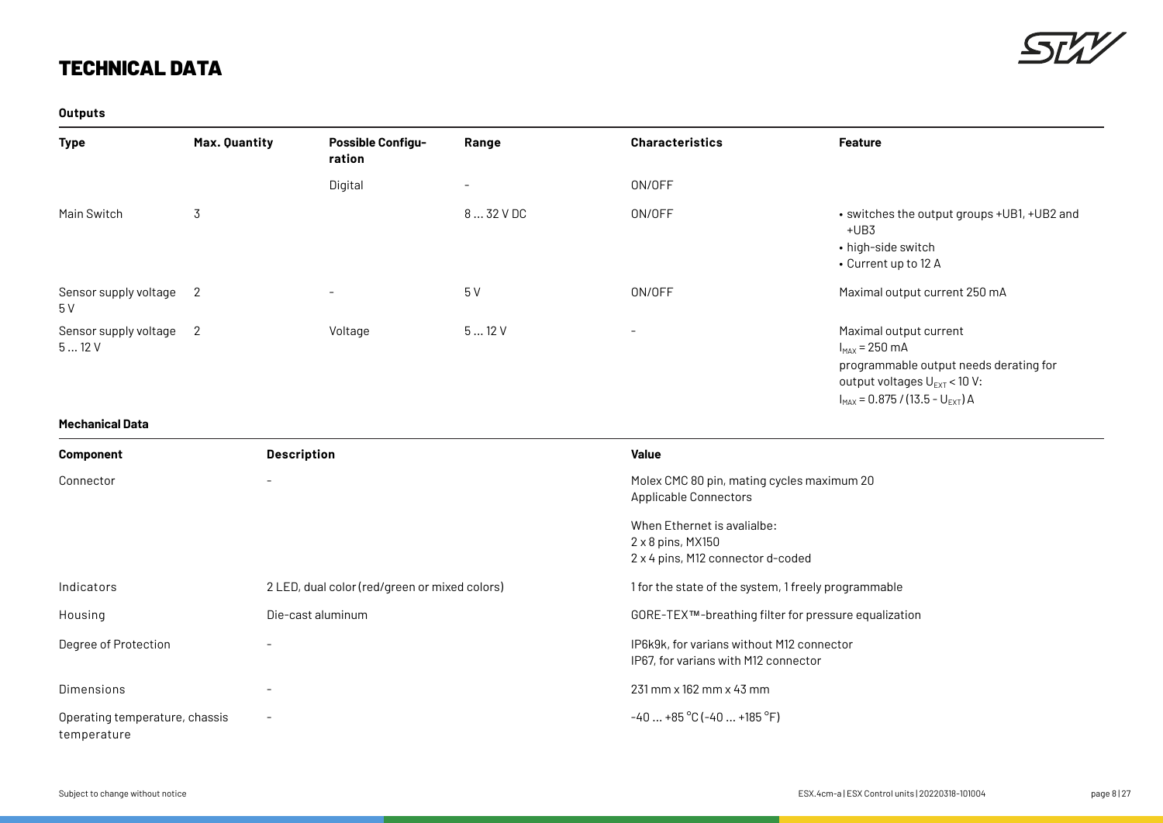

**Outputs**

| Type                          | Max. Quantity | <b>Possible Configu-</b><br>ration | Range      | <b>Characteristics</b>   | <b>Feature</b>                                                                                                                                                               |
|-------------------------------|---------------|------------------------------------|------------|--------------------------|------------------------------------------------------------------------------------------------------------------------------------------------------------------------------|
|                               |               | Digital                            | $-$        | ON/OFF                   |                                                                                                                                                                              |
| Main Switch                   | 3             |                                    | 8  32 V DC | ON/OFF                   | • switches the output groups +UB1, +UB2 and<br>$+UB3$<br>• high-side switch<br>• Current up to 12 A                                                                          |
| Sensor supply voltage<br>5 V  | 2             | $\overline{\phantom{a}}$           | 5V         | ON/OFF                   | Maximal output current 250 mA                                                                                                                                                |
| Sensor supply voltage<br>512V | 2             | Voltage                            | 512V       | $\overline{\phantom{a}}$ | Maximal output current<br>$I_{MAX}$ = 250 mA<br>programmable output needs derating for<br>output voltages $U_{\text{EXT}}$ < 10 V:<br>$I_{MAX} = 0.875 / (13.5 - U_{EXT})$ A |

**Mechanical Data**

| <b>Component</b>                              | <b>Description</b>                            | <b>Value</b>                                                                                 |
|-----------------------------------------------|-----------------------------------------------|----------------------------------------------------------------------------------------------|
| Connector                                     |                                               | Molex CMC 80 pin, mating cycles maximum 20<br><b>Applicable Connectors</b>                   |
|                                               |                                               | When Ethernet is avalialbe:<br>$2 \times 8$ pins, MX150<br>2 x 4 pins, M12 connector d-coded |
| Indicators                                    | 2 LED, dual color (red/green or mixed colors) | 1 for the state of the system, 1 freely programmable                                         |
| Housing                                       | Die-cast aluminum                             | GORE-TEX™-breathing filter for pressure equalization                                         |
| Degree of Protection                          |                                               | IP6k9k, for varians without M12 connector<br>IP67, for varians with M12 connector            |
| Dimensions                                    |                                               | $231$ mm $\times$ 162 mm $\times$ 43 mm                                                      |
| Operating temperature, chassis<br>temperature | $-$                                           | $-40+85$ °C ( $-40+185$ °F)                                                                  |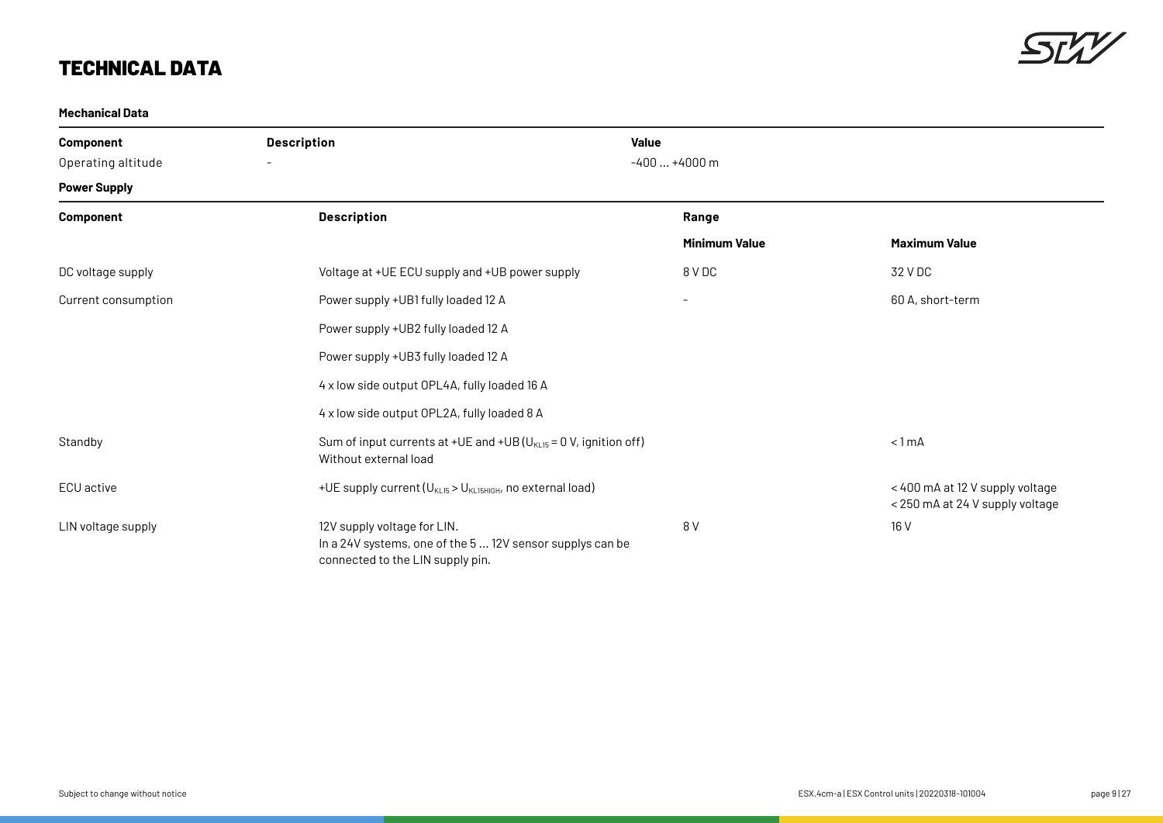

#### **Mechanical Data**

| <b>Component</b><br>Operating altitude | <b>Description</b><br>$\overline{\phantom{a}}$                                                                              | <b>Value</b><br>$-400+4000$ m |                                                                    |
|----------------------------------------|-----------------------------------------------------------------------------------------------------------------------------|-------------------------------|--------------------------------------------------------------------|
| <b>Power Supply</b>                    |                                                                                                                             |                               |                                                                    |
| Component                              | <b>Description</b>                                                                                                          | Range                         |                                                                    |
|                                        |                                                                                                                             | <b>Minimum Value</b>          | <b>Maximum Value</b>                                               |
| DC voltage supply                      | Voltage at +UE ECU supply and +UB power supply                                                                              | 8 V DC                        | 32 V DC                                                            |
| Current consumption                    | Power supply +UB1 fully loaded 12 A                                                                                         | $-$                           | 60 A, short-term                                                   |
|                                        | Power supply +UB2 fully loaded 12 A                                                                                         |                               |                                                                    |
|                                        | Power supply +UB3 fully loaded 12 A                                                                                         |                               |                                                                    |
|                                        | 4 x low side output OPL4A, fully loaded 16 A                                                                                |                               |                                                                    |
|                                        | 4 x low side output OPL2A, fully loaded 8 A                                                                                 |                               |                                                                    |
| Standby                                | Sum of input currents at +UE and +UB ( $U_{KL15}$ = 0 V, ignition off)<br>Without external load                             |                               | $< 1$ mA                                                           |
| ECU active                             | +UE supply current (U <sub>KL15</sub> > U <sub>KL15HIGH</sub> , no external load)                                           |                               | < 400 mA at 12 V supply voltage<br>< 250 mA at 24 V supply voltage |
| LIN voltage supply                     | 12V supply voltage for LIN.<br>In a 24V systems, one of the 5 12V sensor supplys can be<br>connected to the LIN supply pin. | 8 V                           | 16 V                                                               |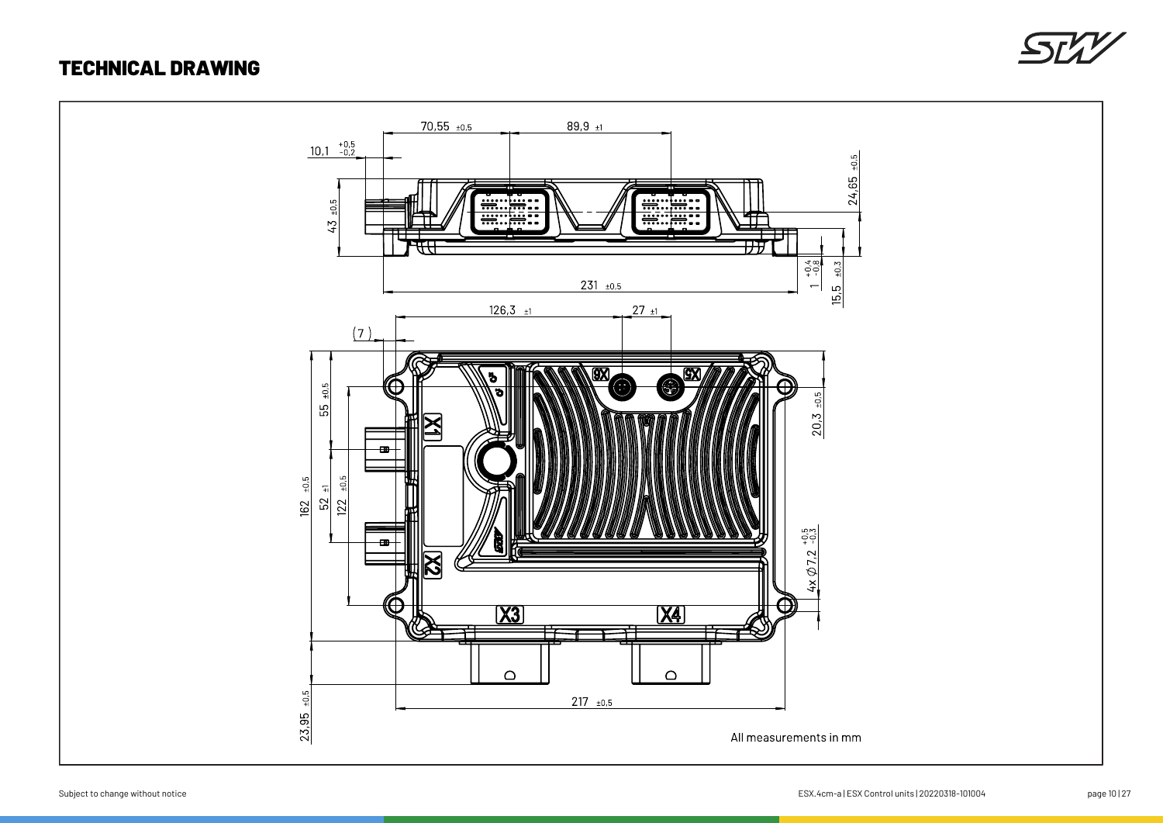### TECHNICAL DRAWING



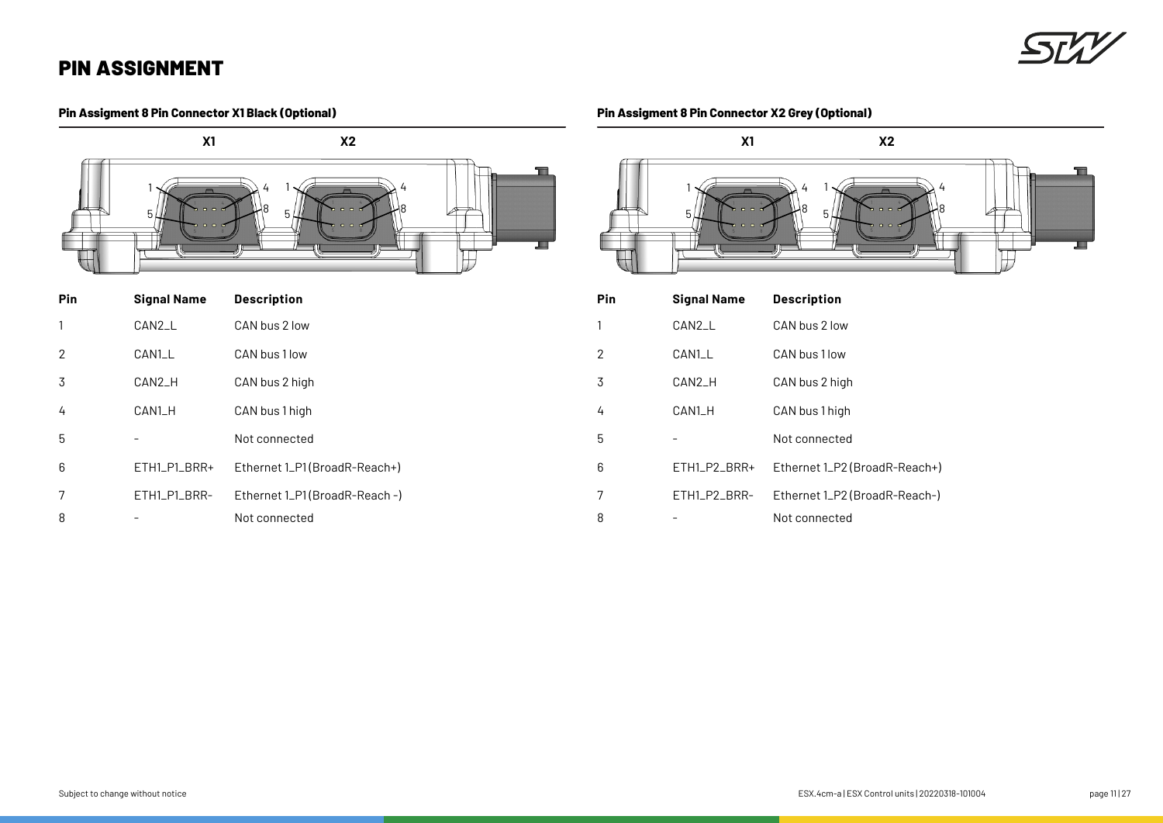### **Pin Assigment 8 Pin Connector X1 Black (Optional)**



| Pin | <b>Signal Name</b> | <b>Description</b>            |
|-----|--------------------|-------------------------------|
|     | CAN2_L             | CAN bus 2 low                 |
| 2   | CAN1_L             | CAN bus 1 low                 |
| 3   | CAN2_H             | CAN bus 2 high                |
| 4   | CAN1_H             | CAN bus 1 high                |
| 5   |                    | Not connected                 |
| 6   | ETH1_P1_BRR+       | Ethernet 1_P1(BroadR-Reach+)  |
| 7   | ETH1_P1_BRR-       | Ethernet 1_P1(BroadR-Reach -) |
| 8   |                    | Not connected                 |

### **Pin Assigment 8 Pin Connector X2 Grey (Optional)**



| Pin            | <b>Signal Name</b> | <b>Description</b>            |
|----------------|--------------------|-------------------------------|
| 1              | CAN2_L             | CAN bus 2 low                 |
| $\overline{2}$ | CAN1_L             | CAN bus 1 low                 |
| 3              | CAN2_H             | CAN bus 2 high                |
| 4              | CAN1_H             | CAN bus 1 high                |
| 5              |                    | Not connected                 |
| 6              | ETH1_P2_BRR+       | Ethernet 1_P2 (BroadR-Reach+) |
| 7              | ETH1_P2_BRR-       | Ethernet 1_P2 (BroadR-Reach-) |
| 8              |                    | Not connected                 |
|                |                    |                               |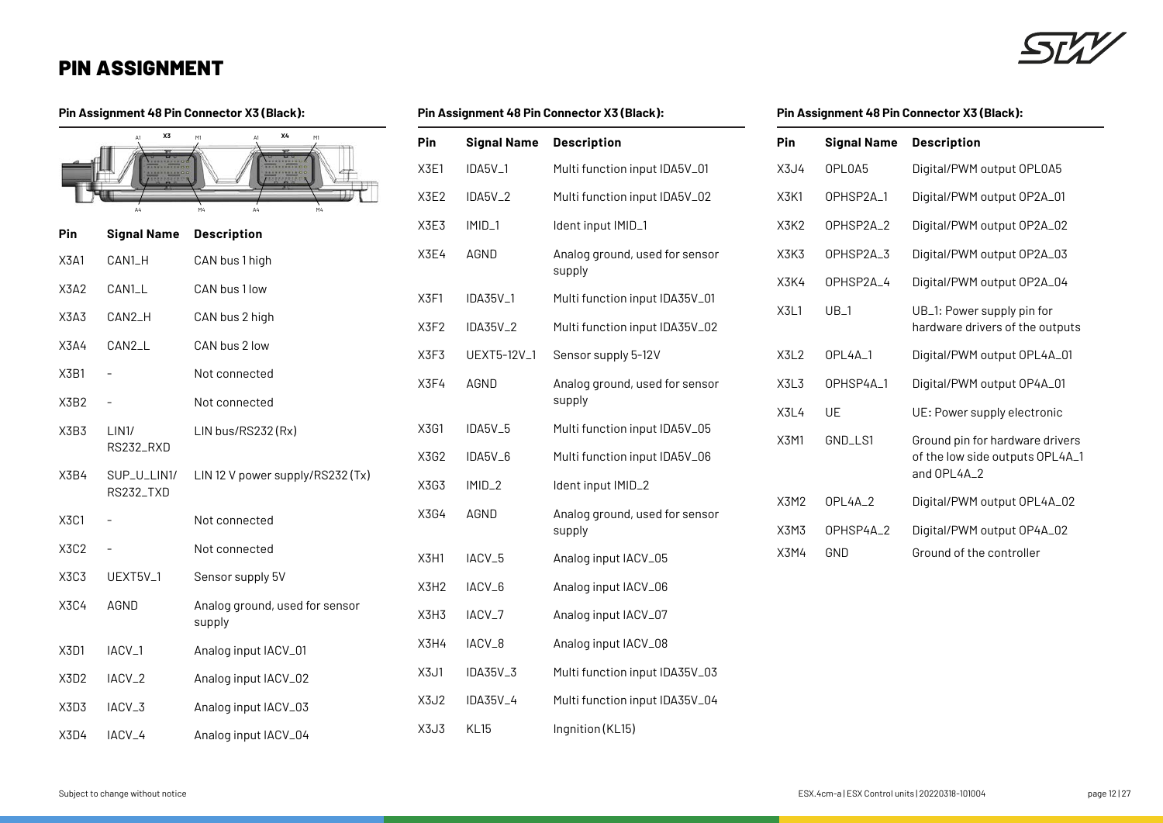#### **Pin Assignment 48 Pin Connector X3 (Black):**

|      | X3<br>$\Delta$ 1<br>$\Delta 4$ | X4<br>M1<br>M1<br>M4<br>M4<br>А4         |
|------|--------------------------------|------------------------------------------|
| Pin  | <b>Signal Name</b>             | <b>Description</b>                       |
| X3A1 | CAN1_H                         | CAN bus 1 high                           |
| X3A2 | CAN1_L                         | CAN bus 1 low                            |
| X3A3 | CAN2_H                         | CAN bus 2 high                           |
| X3A4 | CAN2_L                         | CAN bus 2 low                            |
| X3B1 |                                | Not connected                            |
| X3B2 |                                | Not connected                            |
| X3B3 | LIN1/<br>RS232_RXD             | LIN bus/RS232 (Rx)                       |
| X3B4 | SUP_U_LIN1/<br>RS232_TXD       | LIN 12 V power supply/RS232 (Tx)         |
| X3C1 |                                | Not connected                            |
| X3C2 |                                | Not connected                            |
| X3C3 | UEXT5V <sub>-1</sub>           | Sensor supply 5V                         |
| X3C4 | AGND                           | Analog ground, used for sensor<br>supply |
| X3D1 | IACV <sub>-1</sub>             | Analog input IACV_01                     |
| X3D2 | IACV_2                         | Analog input IACV_02                     |
| X3D3 | IACV <sub>-3</sub>             | Analog input IACV_03                     |
| X3D4 | IACV <sub>-4</sub>             | Analog input IACV_04                     |

#### **Pin Assignment 48 Pin Connector X3 (Black):**

| Pin         | <b>Signal Name</b>   | <b>Description</b>                       |
|-------------|----------------------|------------------------------------------|
| <b>X3E1</b> | IDA5V_1              | Multi function input IDA5V_01            |
| X3E2        | IDA5V <sub>-2</sub>  | Multi function input IDA5V_02            |
| X3E3        | IMID <sub>-1</sub>   | Ident input IMID_1                       |
| X3E4        | AGND                 | Analog ground, used for sensor<br>supply |
| X3F1        | IDA35V <sub>-1</sub> | Multi function input IDA35V_01           |
| X3F2        | IDA35V_2             | Multi function input IDA35V_02           |
| X3F3        | UEXT5-12V_1          | Sensor supply 5-12V                      |
| X3F4        | AGND                 | Analog ground, used for sensor<br>supply |
| X3G1        | IDA5V <sub>-5</sub>  | Multi function input IDA5V_05            |
| X3G2        | IDA5V_6              | Multi function input IDA5V_06            |
| X3G3        | IMID <sub>-2</sub>   | Ident input IMID_2                       |
| X3G4        | AGND                 | Analog ground, used for sensor<br>supply |
| X3H1        | IACV <sub>-5</sub>   | Analog input IACV_05                     |
| X3H2        | IACV <sub>-6</sub>   | Analog input IACV_06                     |
| X3H3        | IACV_7               | Analog input IACV_07                     |
| X3H4        | IACV_8               | Analog input IACV_08                     |
| X3J1        | IDA35V_3             | Multi function input IDA35V_03           |
| X3J2        | IDA35V_4             | Multi function input IDA35V_04           |
| X3J3        | <b>KL15</b>          | Ingnition (KL15)                         |
|             |                      |                                          |

### **Pin Assignment 48 Pin Connector X3 (Black):**

| Pin         | <b>Signal Name</b> | <b>Description</b>                                                                |
|-------------|--------------------|-----------------------------------------------------------------------------------|
| X3J4        | OPL0A5             | Digital/PWM output OPL0A5                                                         |
| X3K1        | OPHSP2A_1          | Digital/PWM output 0P2A_01                                                        |
| X3K2        | OPHSP2A_2          | Digital/PWM output 0P2A_02                                                        |
| X3K3        | OPHSP2A_3          | Digital/PWM output 0P2A_03                                                        |
| X3K4        | OPHSP2A_4          | Digital/PWM output OP2A_04                                                        |
| X3L1        | $UB_1$             | UB_1: Power supply pin for<br>hardware drivers of the outputs                     |
| X3L2        | OPL4A_1            | Digital/PWM output OPL4A_01                                                       |
| X3L3        | OPHSP4A_1          | Digital/PWM output 0P4A_01                                                        |
| X3L4        | UE                 | UE: Power supply electronic                                                       |
| <b>X3M1</b> | GND_LS1            | Ground pin for hardware drivers<br>of the low side outputs OPL4A_1<br>and OPL4A_2 |
| X3M2        | OPL4A_2            | Digital/PWM output OPL4A_02                                                       |
| X3M3        | OPHSP4A_2          | Digital/PWM output 0P4A_02                                                        |
| X3M4        | GND                | Ground of the controller                                                          |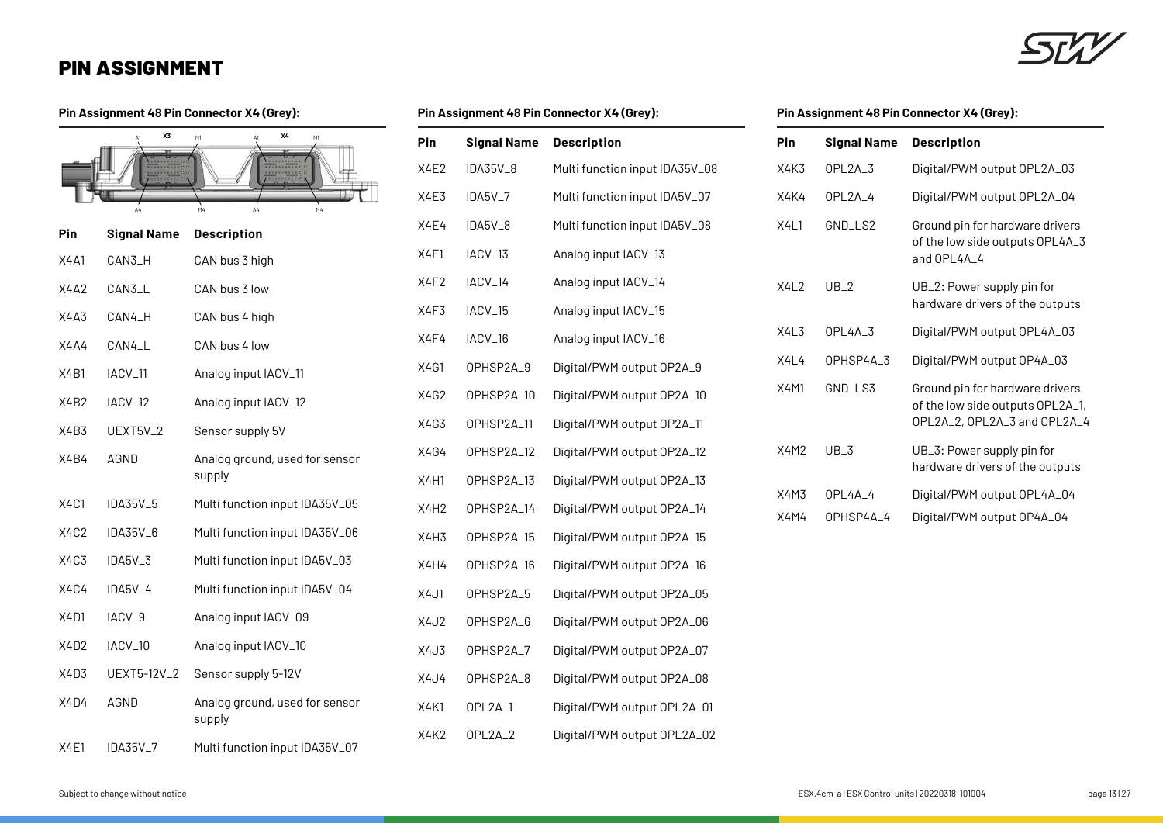### **Pin Assignment 48 Pin Connector X4 (Grey):**

|             | X3<br>$\Delta$ 1     | χ4<br>M1<br>M1                           | Pin         |
|-------------|----------------------|------------------------------------------|-------------|
|             |                      |                                          | <b>X4E2</b> |
|             |                      | M4<br>M4                                 | X4E3        |
| Pin         | <b>Signal Name</b>   | <b>Description</b>                       | <b>X4E4</b> |
| <b>X4A1</b> | CAN3_H               | CAN bus 3 high                           | X4F1        |
| X4A2        | CAN3_L               | CAN bus 3 low                            | X4F2        |
| X4A3        | CAN4_H               | CAN bus 4 high                           | X4F3        |
| X4A4        | CAN4_L               | CAN bus 4 low                            | X4F4        |
| X4B1        | IACV_11              | Analog input IACV_11                     | X4G1        |
| X4B2        | IACV <sub>-12</sub>  | Analog input IACV_12                     | X4G2        |
| X4B3        | UEXT5V <sub>-2</sub> | Sensor supply 5V                         | X4G3        |
| X4B4        | AGND                 | Analog ground, used for sensor           | X4G4        |
|             |                      | supply                                   | X4H1        |
| X4C1        | IDA35V_5             | Multi function input IDA35V_05           | X4H2        |
| X4C2        | IDA35V_6             | Multi function input IDA35V_06           | X4H3        |
| X4C3        | IDA5V_3              | Multi function input IDA5V_03            | X4H4        |
| X4C4        | IDA5V_4              | Multi function input IDA5V_04            | X4J1        |
| X4D1        | IACV_9               | Analog input IACV_09                     | <b>X4J2</b> |
| X4D2        | IACV_10              | Analog input IACV_10                     | X4J3        |
| X4D3        | UEXT5-12V_2          | Sensor supply 5-12V                      | X4J4        |
| X4D4        | AGND                 | Analog ground, used for sensor<br>supply | <b>X4K1</b> |
| <b>X4E1</b> | IDA35V_7             | Multi function input IDA35V_07           | X4K2        |
|             |                      |                                          |             |

### **Pin Assignment 48 Pin Connector X4 (Grey):**

| Pin              | <b>Signal Name</b>  | <b>Description</b>             |
|------------------|---------------------|--------------------------------|
| X4E2             | IDA35V_8            | Multi function input IDA35V_08 |
| <b>X4E3</b>      | IDA5V <sub>-7</sub> | Multi function input IDA5V_07  |
| X4E4             | IDA5V_8             | Multi function input IDA5V_08  |
| X4F1             | IACV_13             | Analog input IACV_13           |
| X4F2             | IACV <sub>-14</sub> | Analog input IACV_14           |
| X4F3             | IACV <sub>-15</sub> | Analog input IACV_15           |
| X4F4             | IACV_16             | Analog input IACV_16           |
| X4G1             | OPHSP2A_9           | Digital/PWM output OP2A_9      |
| X4G2             | OPHSP2A_10          | Digital/PWM output 0P2A_10     |
| X4G3             | OPHSP2A_11          | Digital/PWM output OP2A_11     |
| X4G4             | OPHSP2A_12          | Digital/PWM output 0P2A_12     |
| <b>X4H1</b>      | OPHSP2A_13          | Digital/PWM output 0P2A_13     |
| X4H <sub>2</sub> | OPHSP2A_14          | Digital/PWM output 0P2A_14     |
| X4H3             | OPHSP2A_15          | Digital/PWM output 0P2A_15     |
| <b>X4H4</b>      | OPHSP2A_16          | Digital/PWM output 0P2A_16     |
| X4J1             | OPHSP2A_5           | Digital/PWM output 0P2A_05     |
| <b>X4J2</b>      | OPHSP2A_6           | Digital/PWM output 0P2A_06     |
| X4J3             | OPHSP2A_7           | Digital/PWM output 0P2A_07     |
| X4J4             | OPHSP2A_8           | Digital/PWM output OP2A_08     |
| <b>X4K1</b>      | OPL2A <sub>-1</sub> | Digital/PWM output OPL2A_01    |
| <b>X4K2</b>      | OPL2A <sub>-2</sub> | Digital/PWM output OPL2A_02    |
|                  |                     |                                |

### **Pin Assignment 48 Pin Connector X4 (Grey):**

| Pin         | <b>Signal Name</b>    | <b>Description</b>                                                                                  |
|-------------|-----------------------|-----------------------------------------------------------------------------------------------------|
| X4K3        | OPL2A <sub>-3</sub>   | Digital/PWM output OPL2A_03                                                                         |
| X4K4        | OPL2A_4               | Digital/PWM output OPL2A_04                                                                         |
| X411        | GND_LS2               | Ground pin for hardware drivers<br>of the low side outputs OPL4A_3<br>and OPL4A_4                   |
| X412        | UB <sub>2</sub>       | UB_2: Power supply pin for<br>hardware drivers of the outputs                                       |
| X413        | OPI 4A 3              | Digital/PWM output OPL4A_03                                                                         |
| X4L4        | OPHSP4A <sub>-3</sub> | Digital/PWM output 0P4A_03                                                                          |
| <b>X4M1</b> | GND_LS3               | Ground pin for hardware drivers<br>of the low side outputs OPL2A_1,<br>OPL2A_2, OPL2A_3 and OPL2A_4 |
| X4M2        | $UB_3$                | UB_3: Power supply pin for<br>hardware drivers of the outputs                                       |
| X4M3        | OPI 4A 4              | Digital/PWM output OPL4A_04                                                                         |
| X4M4        | OPHSP4A_4             | Digital/PWM output OP4A_04                                                                          |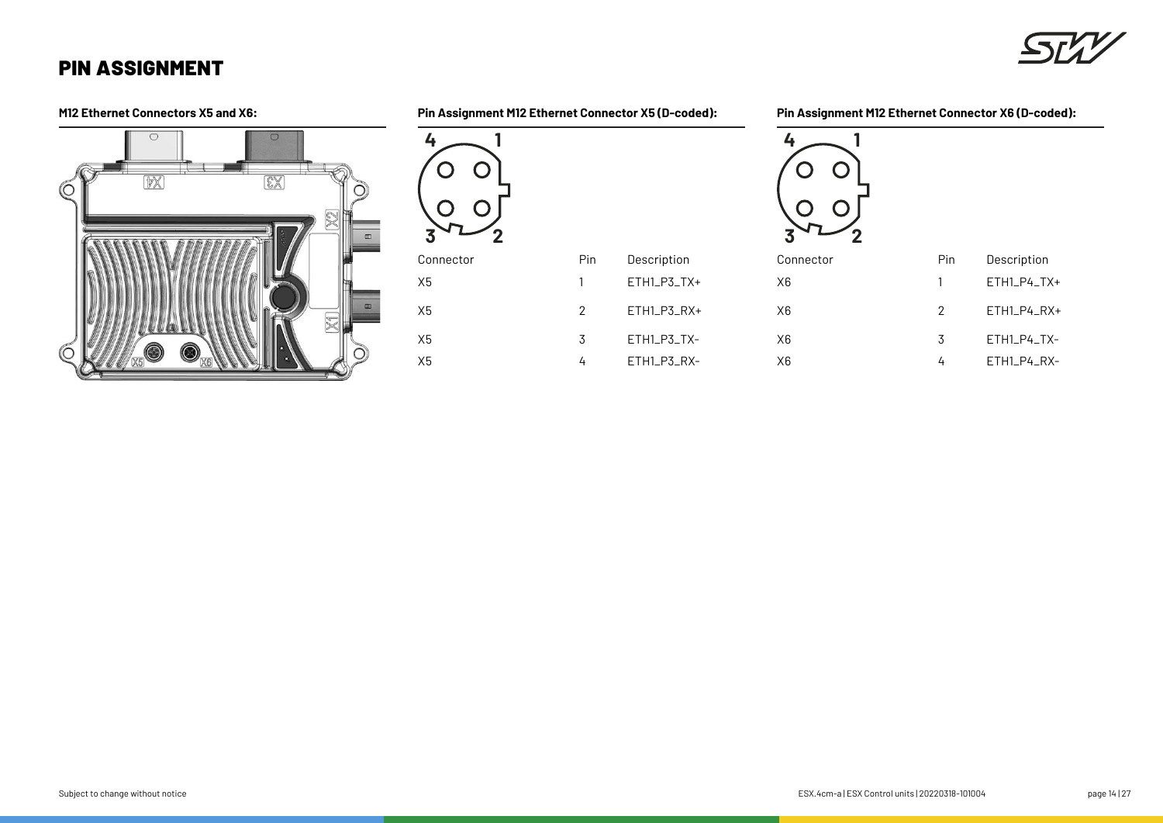

**M12 Ethernet Connectors X5 and X6: Pin Assignment M12 Ethernet Connector X5 (D-coded):**

**Pin Assignment M12 Ethernet Connector X6 (D-coded):**



|   | 4              |     |             |
|---|----------------|-----|-------------|
|   | Connector      | Pin | Description |
| t | X <sub>6</sub> | 1   | ETH1_P4_TX+ |
| t | X <sub>6</sub> | 2   | ETH1_P4_RX+ |
|   | X <sub>6</sub> | 3   | ETH1_P4_TX- |
|   | X <sub>6</sub> | 4   | ETH1_P4_RX- |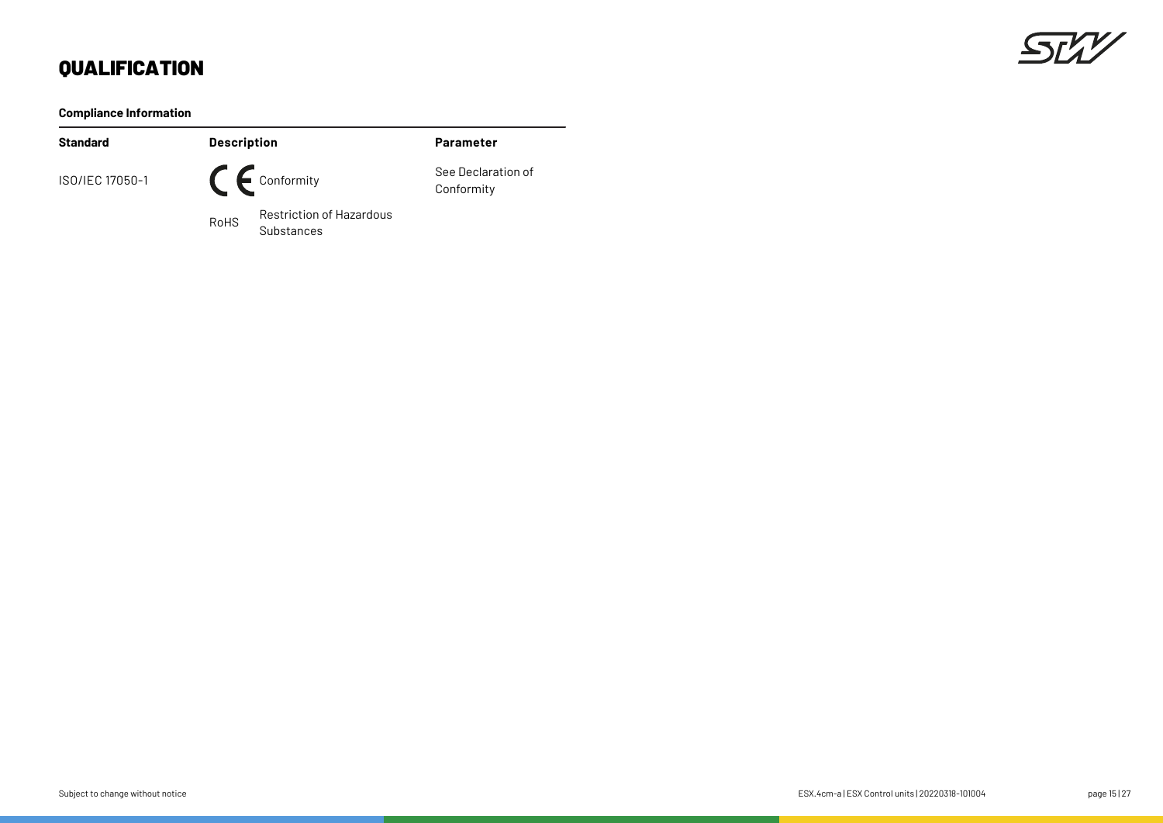## SLL

## **QUALIFICATION**

### **Compliance Information**

| <b>Standard</b> | <b>Description</b> |                                        | <b>Parameter</b>                 |
|-----------------|--------------------|----------------------------------------|----------------------------------|
| ISO/IEC 17050-1 |                    | $\bigcap$ $\bigcap$ Conformity         | See Declaration of<br>Conformity |
|                 | <b>RoHS</b>        | Restriction of Hazardous<br>Substances |                                  |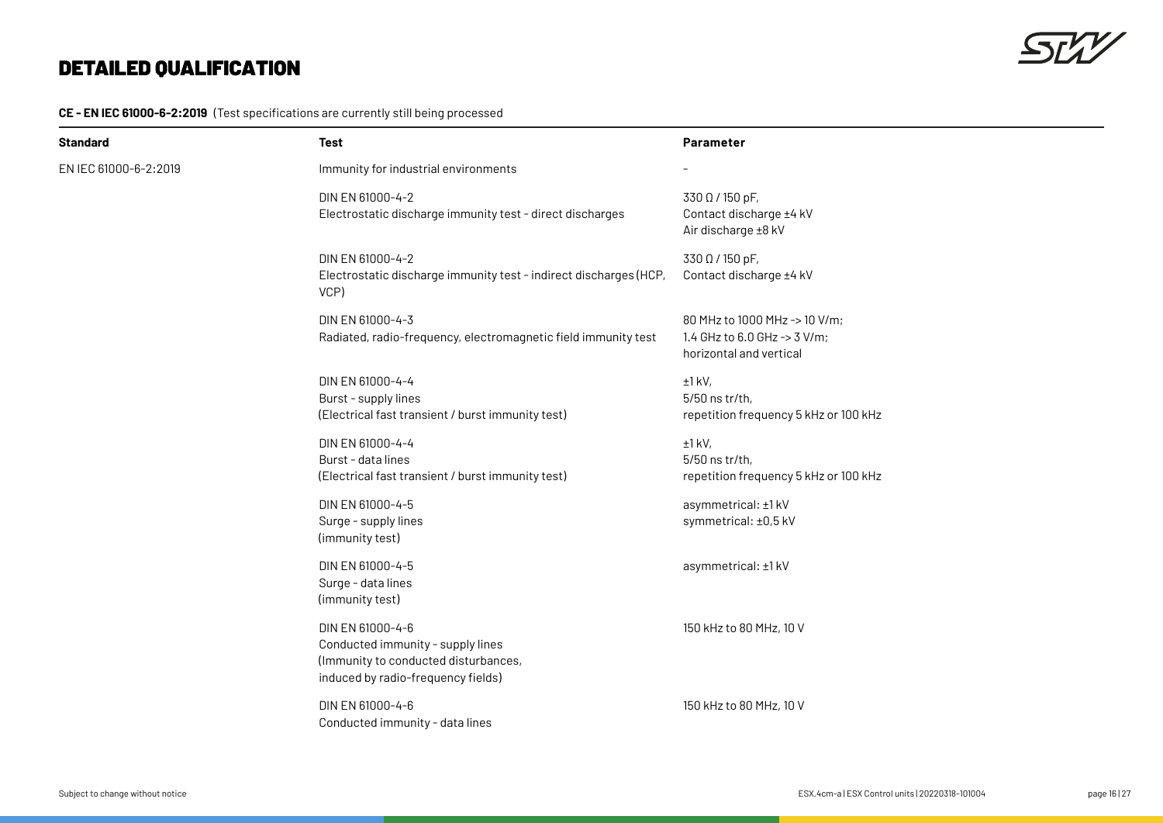$5522$ 

### **CE - EN IEC 61000-6-2:2019** (Test specifications are currently still being processed

| Standard              | Test                                                                                                                                | <b>Parameter</b>                                                                         |
|-----------------------|-------------------------------------------------------------------------------------------------------------------------------------|------------------------------------------------------------------------------------------|
| EN IEC 61000-6-2:2019 | Immunity for industrial environments                                                                                                |                                                                                          |
|                       | DIN EN 61000-4-2<br>Electrostatic discharge immunity test - direct discharges                                                       | 330 Ω / 150 pF,<br>Contact discharge ±4 kV<br>Air discharge ±8 kV                        |
|                       | DIN EN 61000-4-2<br>Electrostatic discharge immunity test - indirect discharges (HCP,<br>VCP)                                       | 330 Ω / 150 pF,<br>Contact discharge ±4 kV                                               |
|                       | DIN EN 61000-4-3<br>Radiated, radio-frequency, electromagnetic field immunity test                                                  | 80 MHz to 1000 MHz -> 10 V/m;<br>1.4 GHz to 6.0 GHz -> 3 V/m;<br>horizontal and vertical |
|                       | DIN EN 61000-4-4<br>Burst - supply lines<br>(Electrical fast transient / burst immunity test)                                       | $±1$ kV,<br>5/50 ns tr/th,<br>repetition frequency 5 kHz or 100 kHz                      |
|                       | DIN EN 61000-4-4<br>Burst - data lines<br>(Electrical fast transient / burst immunity test)                                         | $±1$ kV,<br>5/50 ns tr/th,<br>repetition frequency 5 kHz or 100 kHz                      |
|                       | DIN EN 61000-4-5<br>Surge - supply lines<br>(immunity test)                                                                         | asymmetrical: ±1 kV<br>symmetrical: ±0,5 kV                                              |
|                       | DIN EN 61000-4-5<br>Surge - data lines<br>(immunity test)                                                                           | asymmetrical: ±1 kV                                                                      |
|                       | DIN EN 61000-4-6<br>Conducted immunity - supply lines<br>(Immunity to conducted disturbances,<br>induced by radio-frequency fields) | 150 kHz to 80 MHz, 10 V                                                                  |
|                       | DIN EN 61000-4-6<br>Conducted immunity - data lines                                                                                 | 150 kHz to 80 MHz, 10 V                                                                  |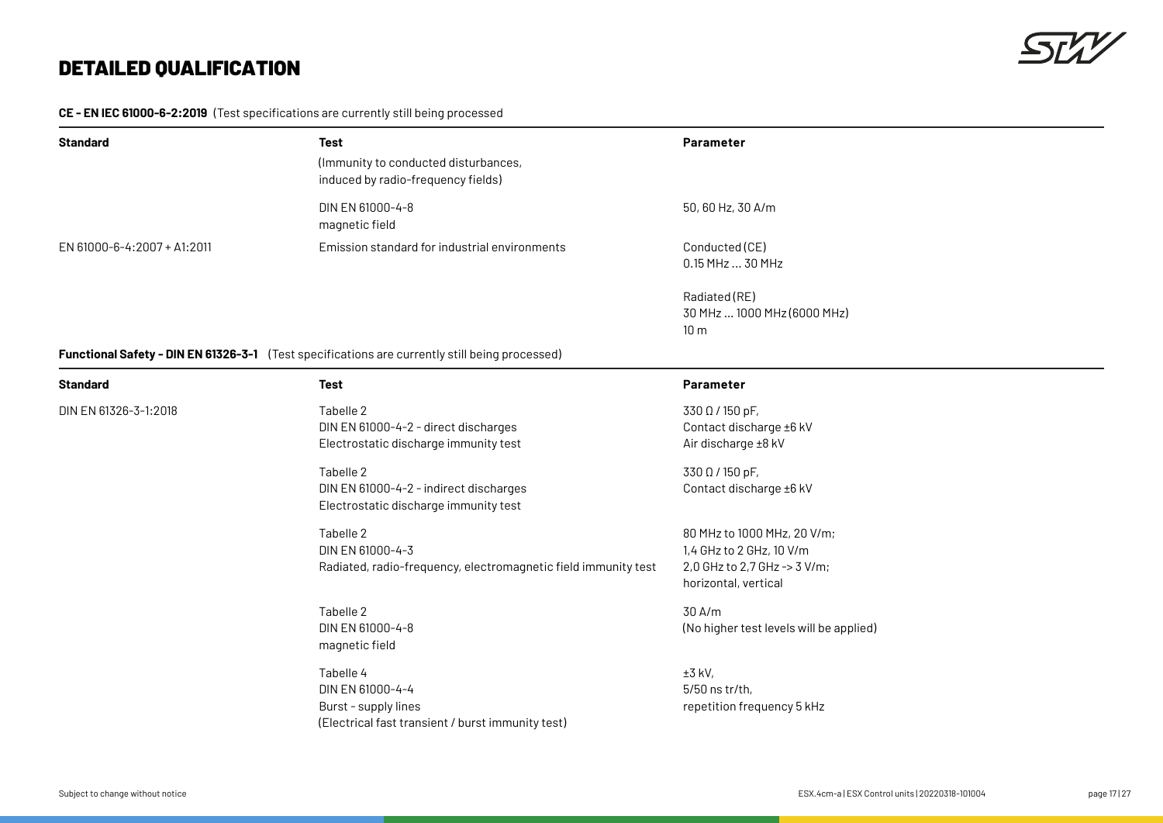### **CE - EN IEC 61000-6-2:2019** (Test specifications are currently still being processed

| <b>Standard</b>             | Test<br>(Immunity to conducted disturbances,<br>induced by radio-frequency fields) | <b>Parameter</b>                       |
|-----------------------------|------------------------------------------------------------------------------------|----------------------------------------|
|                             | DIN EN 61000-4-8<br>magnetic field                                                 | $50,60$ Hz, 30 A/m                     |
| EN 61000-6-4:2007 + A1:2011 | Emission standard for industrial environments                                      | Conducted (CE)<br>$0.15$ MHz $$ 30 MHz |

Radiated (RE) 30 MHz … 1000 MHz (6000 MHz) 10 m

### **Functional Safety - DIN EN 61326-3-1** (Test specifications are currently still being processed)

| <b>Standard</b>       | <b>Test</b>                                                                                                | <b>Parameter</b>                                                                                                |
|-----------------------|------------------------------------------------------------------------------------------------------------|-----------------------------------------------------------------------------------------------------------------|
| DIN EN 61326-3-1:2018 | Tabelle 2<br>DIN EN 61000-4-2 - direct discharges<br>Electrostatic discharge immunity test                 | 330 Ω / 150 pF,<br>Contact discharge ±6 kV<br>Air discharge ±8 kV                                               |
|                       | Tabelle 2<br>DIN EN 61000-4-2 - indirect discharges<br>Electrostatic discharge immunity test               | 330 Ω / 150 pF,<br>Contact discharge ±6 kV                                                                      |
|                       | Tabelle 2<br>DIN EN 61000-4-3<br>Radiated, radio-frequency, electromagnetic field immunity test            | 80 MHz to 1000 MHz, 20 V/m;<br>1,4 GHz to 2 GHz, 10 V/m<br>2,0 GHz to 2,7 GHz -> 3 V/m;<br>horizontal, vertical |
|                       | Tabelle 2<br>DIN EN 61000-4-8<br>magnetic field                                                            | 30 A/m<br>(No higher test levels will be applied)                                                               |
|                       | Tabelle 4<br>DIN EN 61000-4-4<br>Burst - supply lines<br>(Electrical fast transient / burst immunity test) | $±3$ kV,<br>$5/50$ ns tr/th,<br>repetition frequency 5 kHz                                                      |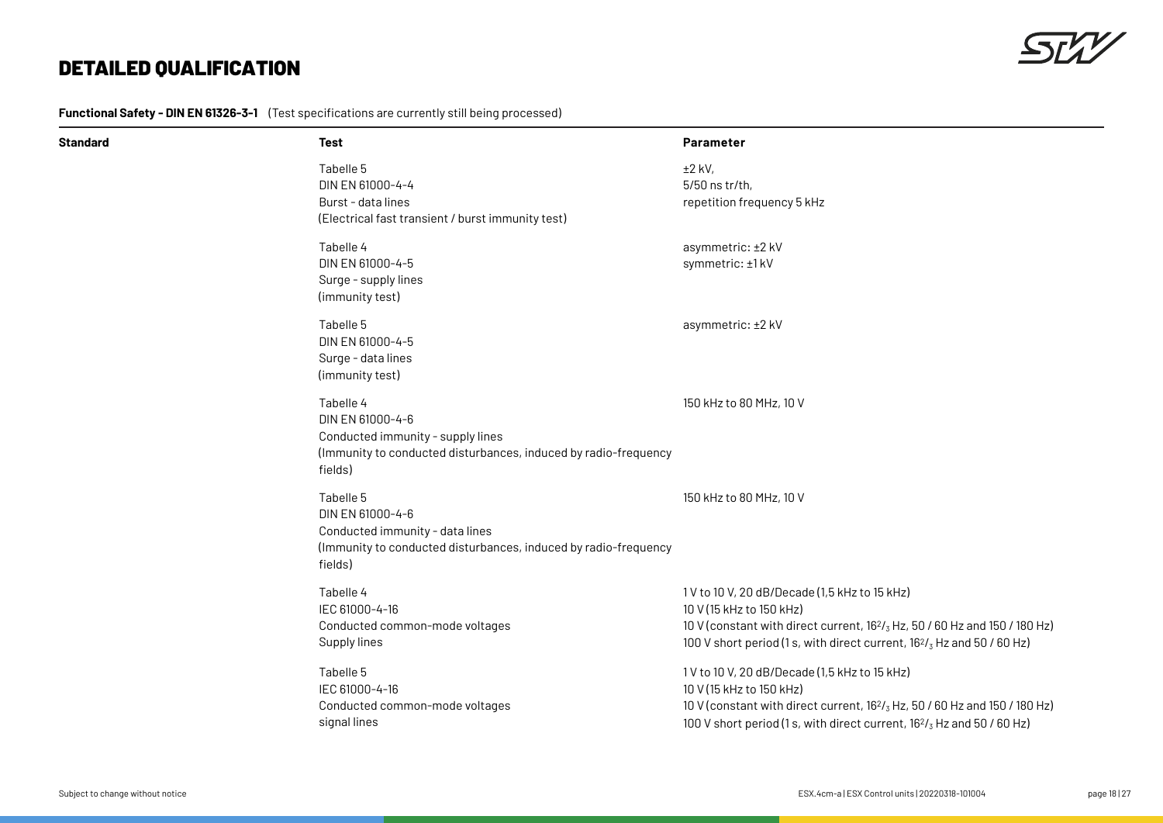

**Functional Safety - DIN EN 61326-3-1** (Test specifications are currently still being processed)

| Standard | <b>Test</b>                                                                                                                                      | Parameter                                                                                                                                                                                                                                                         |
|----------|--------------------------------------------------------------------------------------------------------------------------------------------------|-------------------------------------------------------------------------------------------------------------------------------------------------------------------------------------------------------------------------------------------------------------------|
|          | Tabelle 5<br>DIN EN 61000-4-4<br>Burst - data lines<br>(Electrical fast transient / burst immunity test)                                         | $±2$ kV,<br>5/50 ns tr/th,<br>repetition frequency 5 kHz                                                                                                                                                                                                          |
|          | Tabelle 4<br>DIN EN 61000-4-5<br>Surge - supply lines<br>(immunity test)                                                                         | asymmetric: ±2 kV<br>symmetric: ±1 kV                                                                                                                                                                                                                             |
|          | Tabelle 5<br>DIN EN 61000-4-5<br>Surge - data lines<br>(immunity test)                                                                           | asymmetric: ±2 kV                                                                                                                                                                                                                                                 |
|          | Tabelle 4<br>DIN EN 61000-4-6<br>Conducted immunity - supply lines<br>(Immunity to conducted disturbances, induced by radio-frequency<br>fields) | 150 kHz to 80 MHz, 10 V                                                                                                                                                                                                                                           |
|          | Tabelle 5<br>DIN EN 61000-4-6<br>Conducted immunity - data lines<br>(Immunity to conducted disturbances, induced by radio-frequency<br>fields)   | 150 kHz to 80 MHz, 10 V                                                                                                                                                                                                                                           |
|          | Tabelle 4<br>IEC 61000-4-16<br>Conducted common-mode voltages<br>Supply lines                                                                    | 1V to 10 V, 20 dB/Decade (1,5 kHz to 15 kHz)<br>10 V (15 kHz to 150 kHz)<br>10 V (constant with direct current, 162/ <sub>3</sub> Hz, 50 / 60 Hz and 150 / 180 Hz)<br>100 V short period (1 s, with direct current, $16^{2}/_{3}$ Hz and 50 / 60 Hz)              |
|          | Tabelle 5<br>IEC 61000-4-16<br>Conducted common-mode voltages<br>signal lines                                                                    | 1V to 10 V, 20 dB/Decade (1,5 kHz to 15 kHz)<br>10 V (15 kHz to 150 kHz)<br>10 V (constant with direct current, 16 <sup>2</sup> / <sub>3</sub> Hz, 50 / 60 Hz and 150 / 180 Hz)<br>100 V short period (1 s, with direct current, $16^{2}/_{3}$ Hz and 50 / 60 Hz) |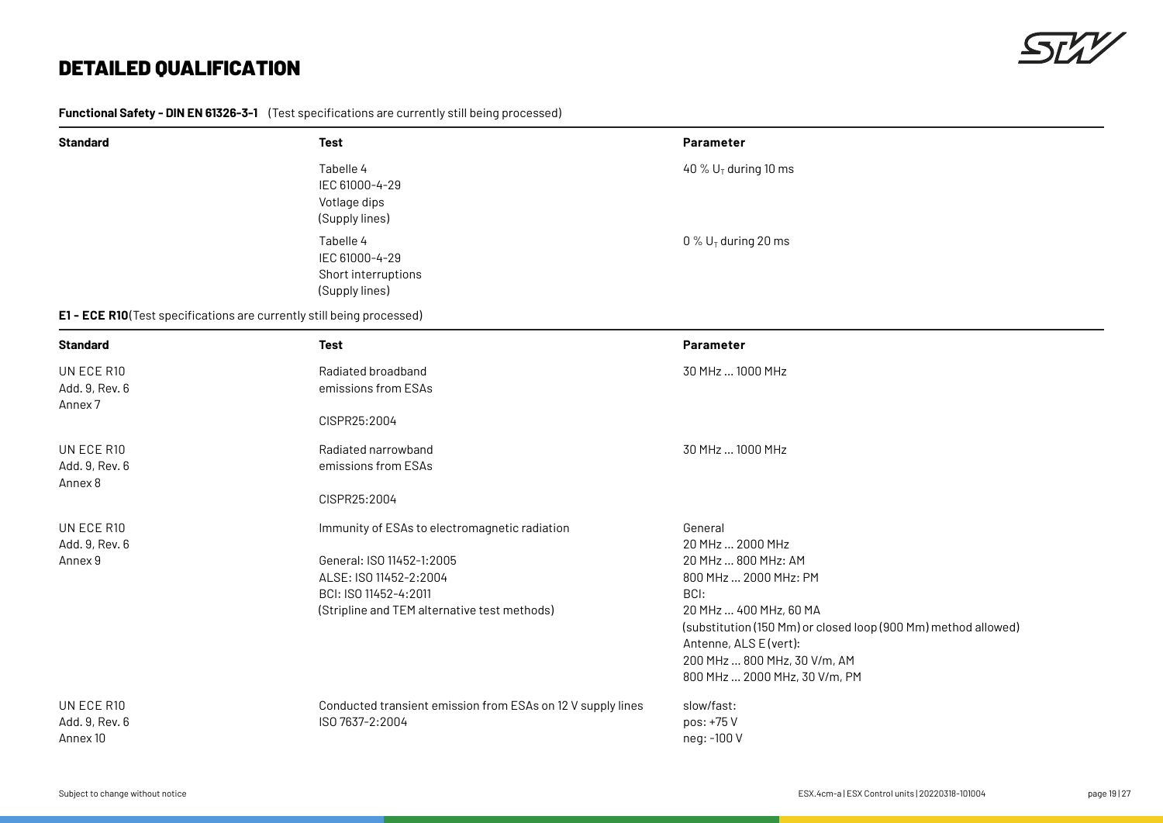

**Functional Safety - DIN EN 61326-3-1** (Test specifications are currently still being processed)

| <b>Standard</b>                                                       | <b>Test</b>                                                                                                                                                                   | Parameter                                                                                                                                                                                                                                                                  |
|-----------------------------------------------------------------------|-------------------------------------------------------------------------------------------------------------------------------------------------------------------------------|----------------------------------------------------------------------------------------------------------------------------------------------------------------------------------------------------------------------------------------------------------------------------|
|                                                                       | Tabelle 4<br>IEC 61000-4-29<br>Votlage dips<br>(Supply lines)                                                                                                                 | 40 % $U_T$ during 10 ms                                                                                                                                                                                                                                                    |
|                                                                       | Tabelle 4<br>IEC 61000-4-29<br>Short interruptions<br>(Supply lines)                                                                                                          | 0 % $U_T$ during 20 ms                                                                                                                                                                                                                                                     |
| E1 - ECE R10(Test specifications are currently still being processed) |                                                                                                                                                                               |                                                                                                                                                                                                                                                                            |
| <b>Standard</b>                                                       | Test                                                                                                                                                                          | Parameter                                                                                                                                                                                                                                                                  |
| UN ECE R10<br>Add. 9, Rev. 6<br>Annex <sub>7</sub>                    | Radiated broadband<br>emissions from ESAs                                                                                                                                     | 30 MHz  1000 MHz                                                                                                                                                                                                                                                           |
|                                                                       | CISPR25:2004                                                                                                                                                                  |                                                                                                                                                                                                                                                                            |
| UN ECE R10<br>Add. 9, Rev. 6<br>Annex 8                               | Radiated narrowband<br>emissions from ESAs                                                                                                                                    | 30 MHz  1000 MHz                                                                                                                                                                                                                                                           |
|                                                                       | CISPR25:2004                                                                                                                                                                  |                                                                                                                                                                                                                                                                            |
| UN ECE R10<br>Add. 9, Rev. 6<br>Annex 9                               | Immunity of ESAs to electromagnetic radiation<br>General: ISO 11452-1:2005<br>ALSE: ISO 11452-2:2004<br>BCI: ISO 11452-4:2011<br>(Stripline and TEM alternative test methods) | General<br>20 MHz  2000 MHz<br>20 MHz  800 MHz: AM<br>800 MHz  2000 MHz: PM<br>BCI:<br>20 MHz  400 MHz, 60 MA<br>(substitution (150 Mm) or closed loop (900 Mm) method allowed)<br>Antenne, ALS E (vert):<br>200 MHz  800 MHz, 30 V/m, AM<br>800 MHz  2000 MHz, 30 V/m, PM |
| UN ECE R10<br>Add. 9, Rev. 6<br>Annex 10                              | Conducted transient emission from ESAs on 12 V supply lines<br>ISO 7637-2:2004                                                                                                | slow/fast:<br>pos: +75 V<br>neg: -100 V                                                                                                                                                                                                                                    |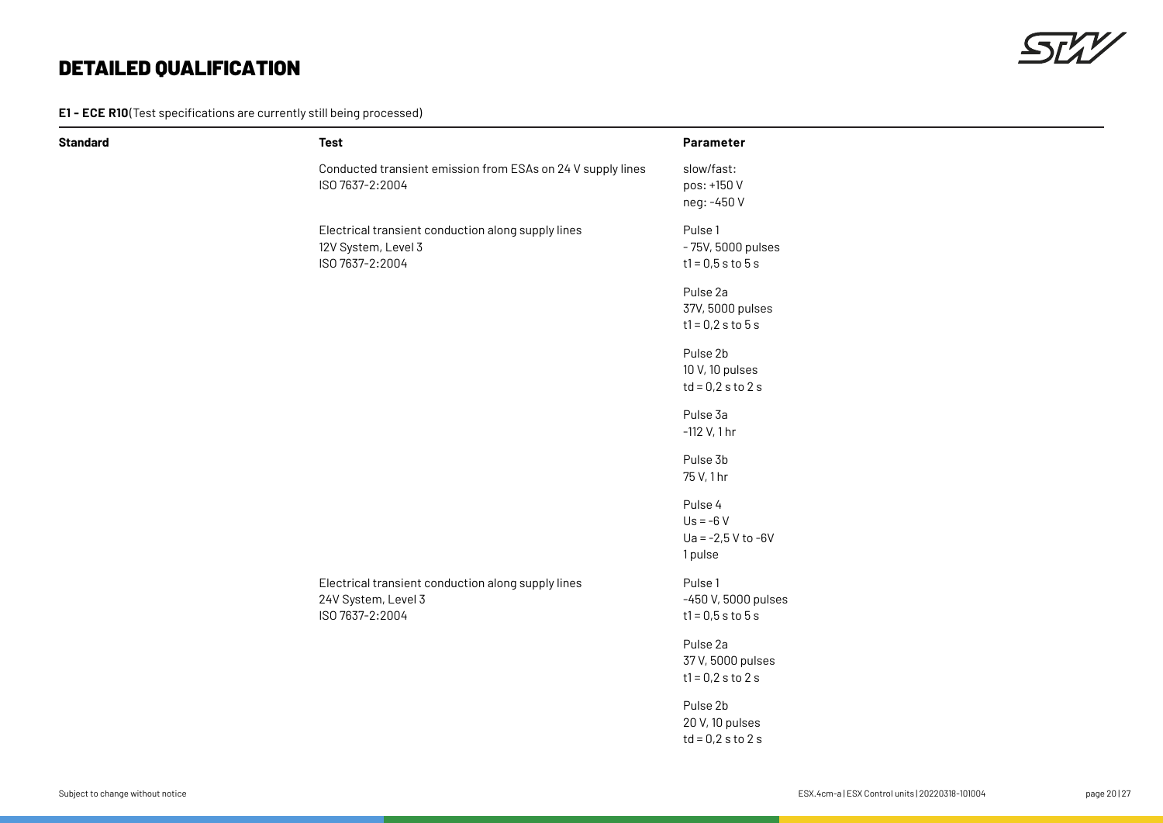**E1 - ECE R10** (Test specifications are currently still being processed)

| <b>Standard</b> | <b>Test</b>                                                                                  | Parameter                                                |
|-----------------|----------------------------------------------------------------------------------------------|----------------------------------------------------------|
|                 | Conducted transient emission from ESAs on 24 V supply lines<br>ISO 7637-2:2004               | slow/fast:<br>pos: +150 V<br>neg: -450 V                 |
|                 | Electrical transient conduction along supply lines<br>12V System, Level 3<br>ISO 7637-2:2004 | Pulse 1<br>- 75V, 5000 pulses<br>$t1 = 0,5 s to 5 s$     |
|                 |                                                                                              | Pulse 2a<br>37V, 5000 pulses<br>$t1 = 0.2 s to 5 s$      |
|                 |                                                                                              | Pulse 2b<br>10 V, 10 pulses<br>$td = 0.2$ s to 2 s       |
|                 |                                                                                              | Pulse 3a<br>$-112$ V, 1 hr                               |
|                 |                                                                                              | Pulse 3b<br>75 V, 1 hr                                   |
|                 |                                                                                              | Pulse 4<br>$Us = -6V$<br>$Ua = -2,5 V to -6V$<br>1 pulse |
|                 | Electrical transient conduction along supply lines<br>24V System, Level 3<br>ISO 7637-2:2004 | Pulse 1<br>-450 V, 5000 pulses<br>$t1 = 0,5 s to 5 s$    |
|                 |                                                                                              | Pulse 2a<br>37 V, 5000 pulses<br>$t1 = 0.2$ s to 2 s     |
|                 |                                                                                              | Pulse 2b<br>20 V, 10 pulses<br>$td = 0.2$ s to 2 s       |
|                 |                                                                                              |                                                          |

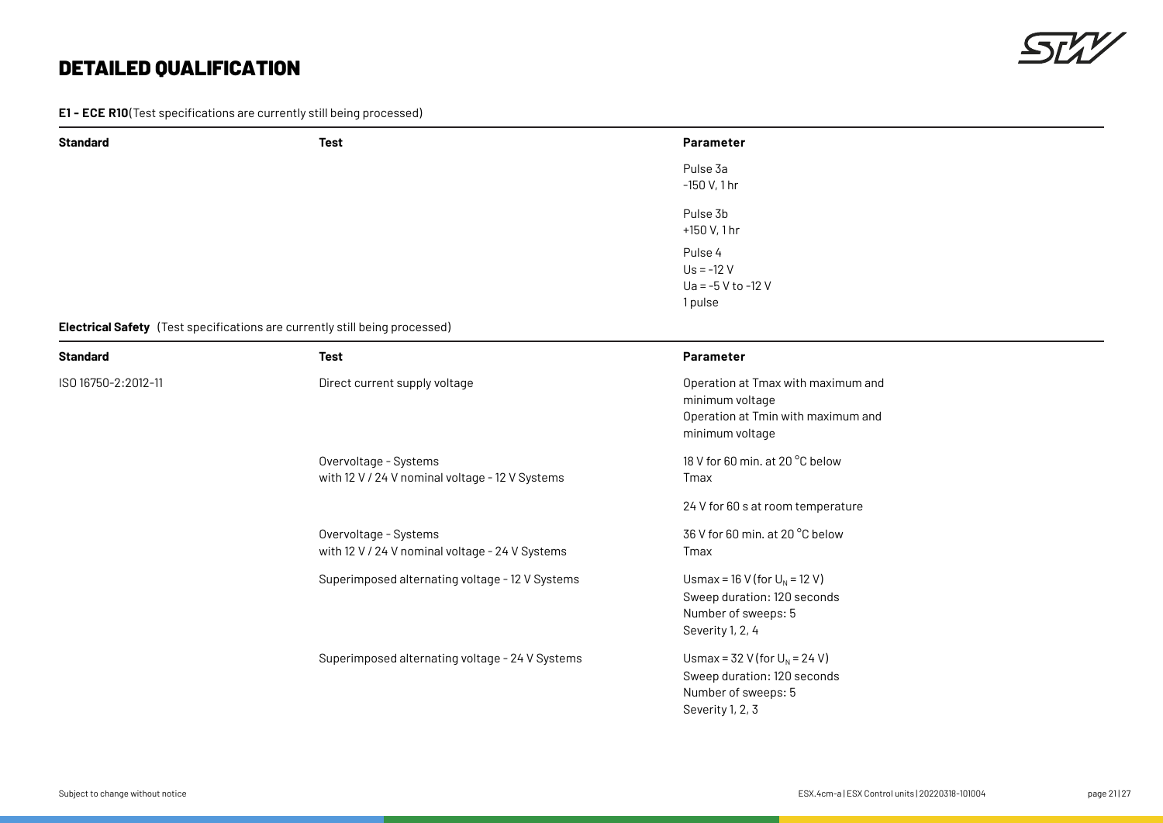**E1 - ECE R10** (Test specifications are currently still being processed)

Overvoltage - Systems

with 12 V / 24 V nominal voltage - 24 V Systems



| <b>Standard</b>     | <b>Test</b>                                                                                       | Parameter                                                                                                      |  |
|---------------------|---------------------------------------------------------------------------------------------------|----------------------------------------------------------------------------------------------------------------|--|
|                     |                                                                                                   | Pulse 3a<br>$-150$ V, 1 hr                                                                                     |  |
|                     |                                                                                                   | Pulse 3b<br>+150 V, 1 hr                                                                                       |  |
|                     |                                                                                                   | Pulse 4<br>$Us = -12 V$<br>Ua = $-5$ V to $-12$ V<br>1 pulse                                                   |  |
| <b>Standard</b>     | <b>Electrical Safety</b> (Test specifications are currently still being processed)<br><b>Test</b> | Parameter                                                                                                      |  |
| ISO 16750-2:2012-11 | Direct current supply voltage                                                                     | Operation at Tmax with maximum and<br>minimum voltage<br>Operation at Tmin with maximum and<br>minimum voltage |  |
|                     | Overvoltage - Systems<br>with 12 V / 24 V nominal voltage - 12 V Systems                          | 18 V for 60 min. at 20 °C below<br>Tmax                                                                        |  |
|                     |                                                                                                   | 24 V for 60 s at room temperature                                                                              |  |

36 V for 60 min. at 20 °C below Tmax

Superimposed alternating voltage - 12 V Systems Usmax = 16 V (for  $U_N$  = 12 V) Sweep duration: 120 seconds Number of sweeps: 5 Severity 1, 2, 4

Superimposed alternating voltage - 24 V Systems Usmax =  $32$  V (for  $U_N$  = 24 V) Sweep duration: 120 seconds Number of sweeps: 5 Severity 1, 2, 3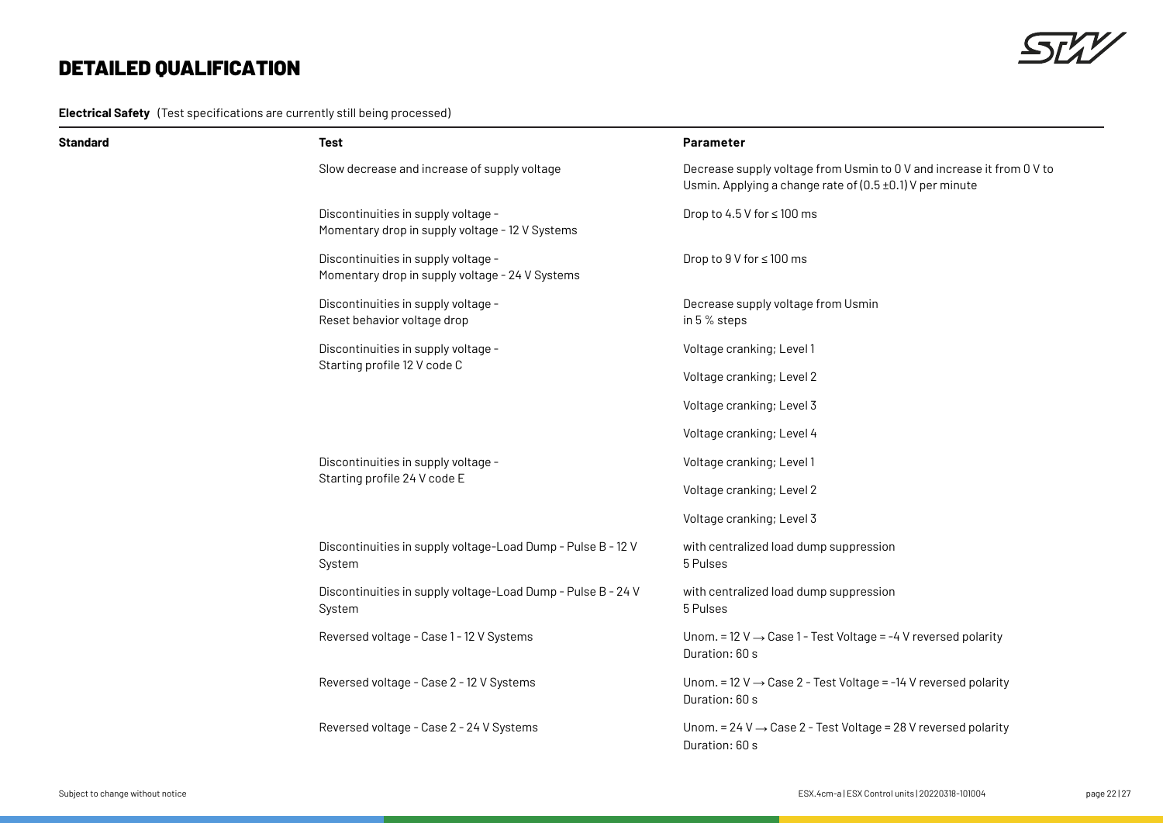**Electrical Safety** (Test specifications are currently still being processed)



| Standard | <b>Test</b>                                                                            | Parameter                                                                                                                         |
|----------|----------------------------------------------------------------------------------------|-----------------------------------------------------------------------------------------------------------------------------------|
|          | Slow decrease and increase of supply voltage                                           | Decrease supply voltage from Usmin to 0 V and increase it from 0 V to<br>Usmin. Applying a change rate of (0.5 ±0.1) V per minute |
|          | Discontinuities in supply voltage -<br>Momentary drop in supply voltage - 12 V Systems | Drop to 4.5 V for $\leq$ 100 ms                                                                                                   |
|          | Discontinuities in supply voltage -<br>Momentary drop in supply voltage - 24 V Systems | Drop to 9 V for ≤ 100 ms                                                                                                          |
|          | Discontinuities in supply voltage -<br>Reset behavior voltage drop                     | Decrease supply voltage from Usmin<br>in 5 % steps                                                                                |
|          | Discontinuities in supply voltage -                                                    | Voltage cranking; Level 1                                                                                                         |
|          | Starting profile 12 V code C                                                           | Voltage cranking; Level 2                                                                                                         |
|          |                                                                                        | Voltage cranking; Level 3                                                                                                         |
|          |                                                                                        | Voltage cranking; Level 4                                                                                                         |
|          | Discontinuities in supply voltage -<br>Starting profile 24 V code E                    | Voltage cranking; Level 1                                                                                                         |
|          |                                                                                        | Voltage cranking; Level 2                                                                                                         |
|          |                                                                                        | Voltage cranking; Level 3                                                                                                         |
|          | Discontinuities in supply voltage-Load Dump - Pulse B - 12 V<br>System                 | with centralized load dump suppression<br>5 Pulses                                                                                |
|          | Discontinuities in supply voltage-Load Dump - Pulse B - 24 V<br>System                 | with centralized load dump suppression<br>5 Pulses                                                                                |
|          | Reversed voltage - Case 1 - 12 V Systems                                               | Unom. = 12 V $\rightarrow$ Case 1 - Test Voltage = -4 V reversed polarity<br>Duration: 60 s                                       |
|          | Reversed voltage - Case 2 - 12 V Systems                                               | Unom. = 12 V $\rightarrow$ Case 2 - Test Voltage = -14 V reversed polarity<br>Duration: 60 s                                      |
|          | Reversed voltage - Case 2 - 24 V Systems                                               | Unom. = 24 V $\rightarrow$ Case 2 - Test Voltage = 28 V reversed polarity<br>Duration: 60 s                                       |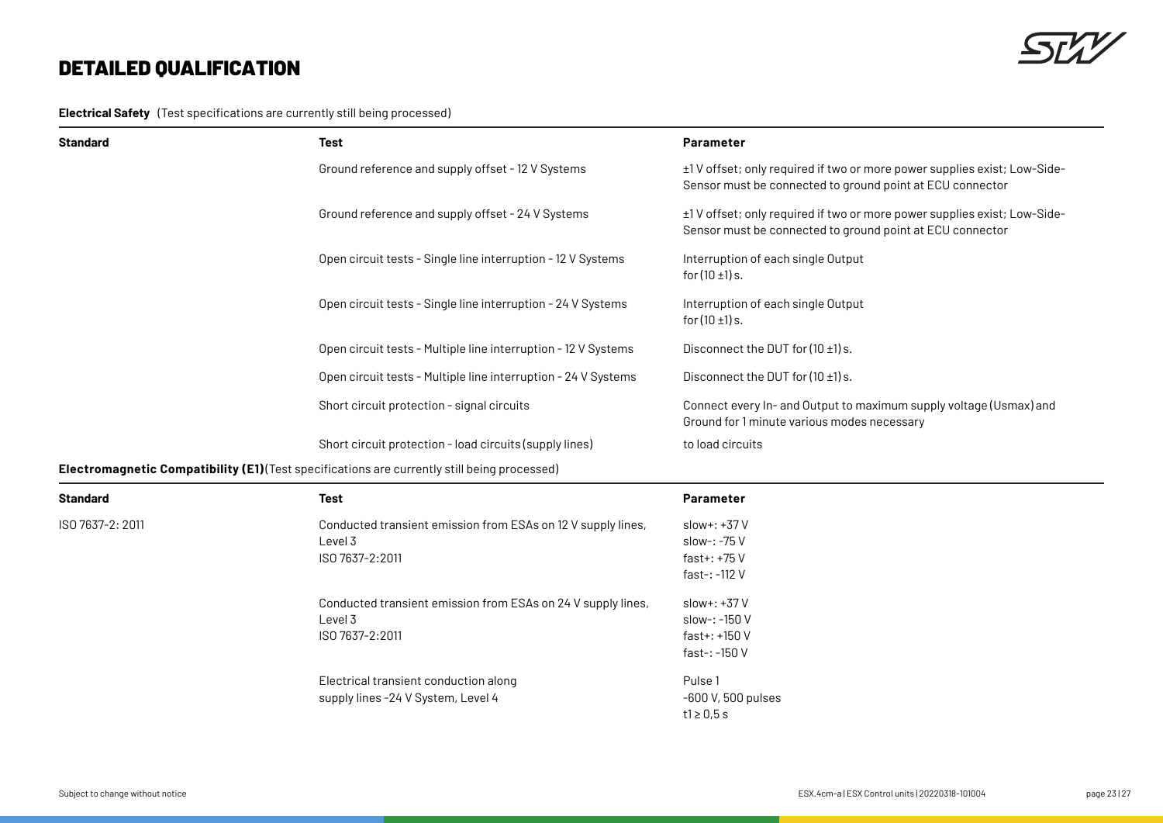**Electrical Safety** (Test specifications are currently still being processed)

| <b>Standard</b> | <b>Test</b>                                                                                  | <b>Parameter</b>                                                                                                                      |
|-----------------|----------------------------------------------------------------------------------------------|---------------------------------------------------------------------------------------------------------------------------------------|
|                 | Ground reference and supply offset - 12 V Systems                                            | ±1V offset; only required if two or more power supplies exist; Low-Side-<br>Sensor must be connected to ground point at ECU connector |
|                 | Ground reference and supply offset - 24 V Systems                                            | ±1V offset; only required if two or more power supplies exist; Low-Side-<br>Sensor must be connected to ground point at ECU connector |
|                 | Open circuit tests - Single line interruption - 12 V Systems                                 | Interruption of each single Output<br>for $(10 \pm 1)$ s.                                                                             |
|                 | Open circuit tests - Single line interruption - 24 V Systems                                 | Interruption of each single Output<br>for $(10 \pm 1)$ s.                                                                             |
|                 | Open circuit tests - Multiple line interruption - 12 V Systems                               | Disconnect the DUT for $(10 \pm 1)$ s.                                                                                                |
|                 | Open circuit tests - Multiple line interruption - 24 V Systems                               | Disconnect the DUT for $(10 \pm 1)$ s.                                                                                                |
|                 | Short circuit protection - signal circuits                                                   | Connect every In- and Output to maximum supply voltage (Usmax) and<br>Ground for 1 minute various modes necessary                     |
|                 | Short circuit protection - load circuits (supply lines)                                      | to load circuits                                                                                                                      |
|                 | Electromagnetic Compatibility (E1) (Test specifications are currently still being processed) |                                                                                                                                       |

| <b>Standard</b>  | <b>Test</b>                                                  | Parameter          |
|------------------|--------------------------------------------------------------|--------------------|
| ISO 7637-2: 2011 | Conducted transient emission from ESAs on 12 V supply lines, | $slow++37V$        |
|                  | Level 3                                                      | slow-: -75 V       |
|                  | ISO 7637-2:2011                                              | fast+: $+75V$      |
|                  |                                                              | fast-: -112 V      |
|                  | Conducted transient emission from ESAs on 24 V supply lines, | $slow++37V$        |
|                  | Level 3                                                      | slow-: -150 V      |
|                  | ISO 7637-2:2011                                              | fast+: +150 V      |
|                  |                                                              | fast-: -150 V      |
|                  | Electrical transient conduction along                        | Pulse 1            |
|                  | supply lines -24 V System, Level 4                           | -600 V, 500 pulses |
|                  |                                                              | t1 $\geq$ 0,5 s    |

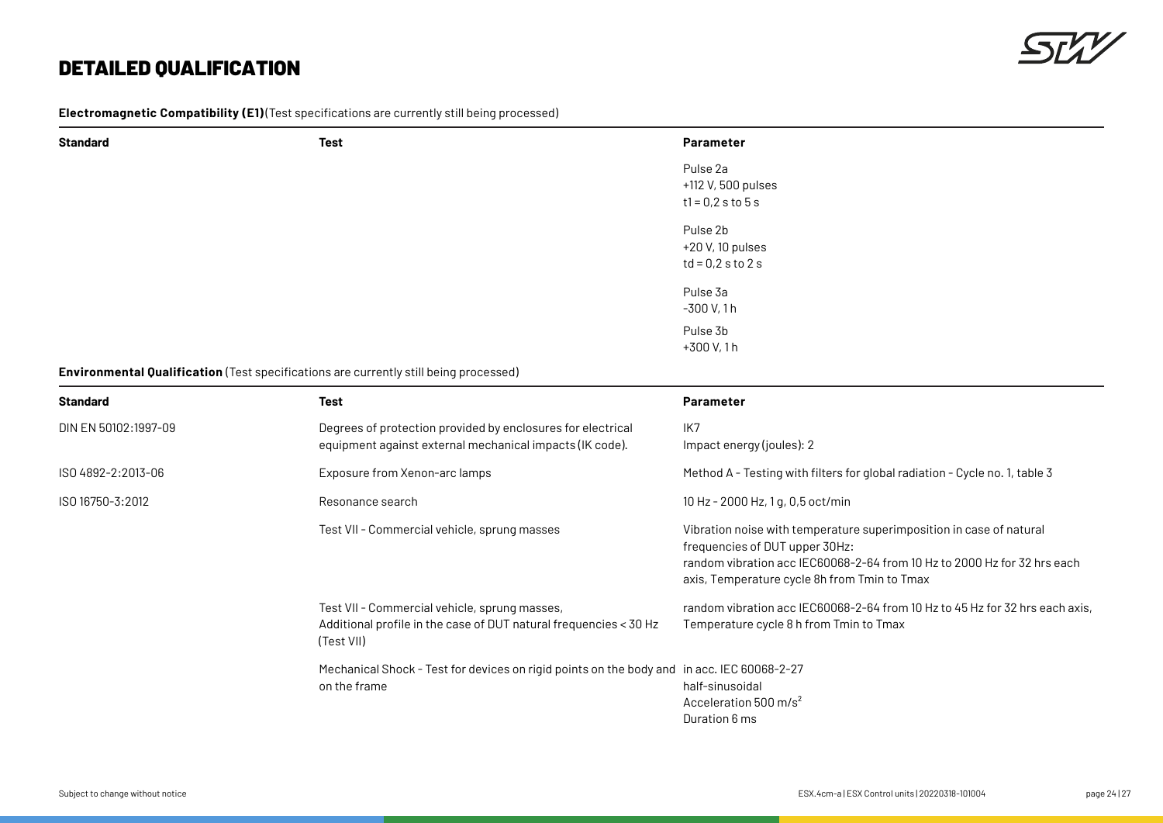

**Electromagnetic Compatibility (E1)** (Test specifications are currently still being processed)

| <b>Standard</b>      | Test                                                                                  | Parameter                 |  |
|----------------------|---------------------------------------------------------------------------------------|---------------------------|--|
|                      |                                                                                       | Pulse 2a                  |  |
|                      |                                                                                       | +112 V, 500 pulses        |  |
|                      |                                                                                       | $t1 = 0.2 s to 5 s$       |  |
|                      |                                                                                       | Pulse 2b                  |  |
|                      |                                                                                       | +20 V, 10 pulses          |  |
|                      |                                                                                       | $td = 0.2$ s to 2 s       |  |
|                      |                                                                                       | Pulse 3a                  |  |
|                      |                                                                                       | $-300$ V, 1h              |  |
|                      |                                                                                       | Pulse 3b                  |  |
|                      |                                                                                       | +300 V, 1 h               |  |
|                      | Environmental Qualification (Test specifications are currently still being processed) |                           |  |
| <b>Standard</b>      | <b>Test</b>                                                                           | Parameter                 |  |
| DIN EN 50102:1997-09 | Degrees of protection provided by enclosures for electrical                           | IK7                       |  |
|                      | equipment against external mechanical impacts (IK code).                              | Impact energy (joules): 2 |  |

| Standard             | Test                                                                                                                             | <b>Parameter</b>                                                                                                                                                                                                                  |
|----------------------|----------------------------------------------------------------------------------------------------------------------------------|-----------------------------------------------------------------------------------------------------------------------------------------------------------------------------------------------------------------------------------|
| DIN EN 50102:1997-09 | Degrees of protection provided by enclosures for electrical<br>equipment against external mechanical impacts (IK code).          | IK7<br>Impact energy (joules): 2                                                                                                                                                                                                  |
| ISO 4892-2:2013-06   | Exposure from Xenon-arc lamps                                                                                                    | Method A - Testing with filters for global radiation - Cycle no. 1, table 3                                                                                                                                                       |
| ISO 16750-3:2012     | Resonance search                                                                                                                 | 10 Hz - 2000 Hz, 1 g, 0,5 oct/min                                                                                                                                                                                                 |
|                      | Test VII - Commercial vehicle, sprung masses                                                                                     | Vibration noise with temperature superimposition in case of natural<br>frequencies of DUT upper 30Hz:<br>random vibration acc IEC60068-2-64 from 10 Hz to 2000 Hz for 32 hrs each<br>axis, Temperature cycle 8h from Tmin to Tmax |
|                      | Test VII - Commercial vehicle, sprung masses,<br>Additional profile in the case of DUT natural frequencies < 30 Hz<br>(Test VII) | random vibration acc IEC60068-2-64 from 10 Hz to 45 Hz for 32 hrs each axis,<br>Temperature cycle 8 h from Tmin to Tmax                                                                                                           |
|                      | Mechanical Shock - Test for devices on rigid points on the body and in acc. IEC 60068-2-27<br>on the frame                       | half-sinusoidal<br>Acceleration 500 m/s <sup>2</sup><br>Duration 6 ms                                                                                                                                                             |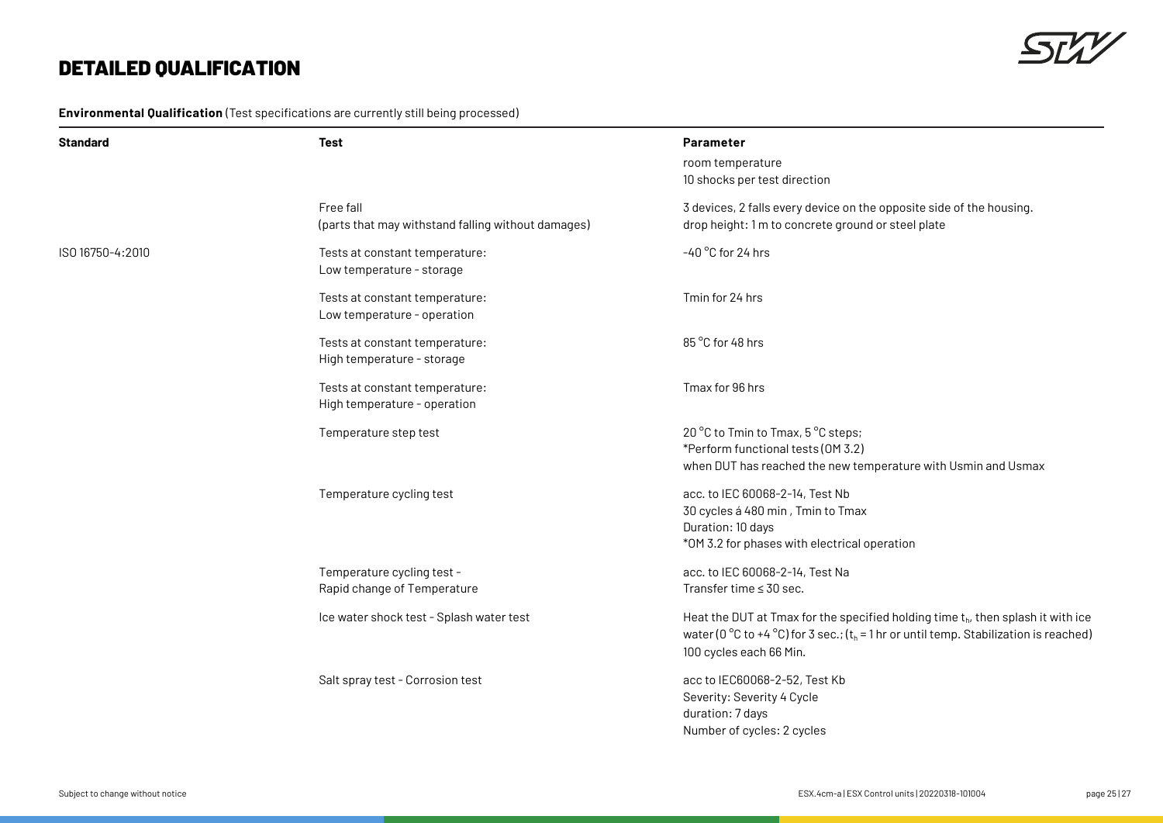

**Environmental Qualification** (Test specifications are currently still being processed)

| <b>Standard</b>  | <b>Test</b>                                                     | Parameter<br>room temperature<br>10 shocks per test direction                                                                                                                                                                |
|------------------|-----------------------------------------------------------------|------------------------------------------------------------------------------------------------------------------------------------------------------------------------------------------------------------------------------|
|                  | Free fall<br>(parts that may withstand falling without damages) | 3 devices, 2 falls every device on the opposite side of the housing.<br>drop height: 1 m to concrete ground or steel plate                                                                                                   |
| ISO 16750-4:2010 | Tests at constant temperature:<br>Low temperature - storage     | -40 °C for 24 hrs                                                                                                                                                                                                            |
|                  | Tests at constant temperature:<br>Low temperature - operation   | Tmin for 24 hrs                                                                                                                                                                                                              |
|                  | Tests at constant temperature:<br>High temperature - storage    | 85 °C for 48 hrs                                                                                                                                                                                                             |
|                  | Tests at constant temperature:<br>High temperature - operation  | Tmax for 96 hrs                                                                                                                                                                                                              |
|                  | Temperature step test                                           | 20 °C to Tmin to Tmax, 5 °C steps;<br>*Perform functional tests (OM 3.2)<br>when DUT has reached the new temperature with Usmin and Usmax                                                                                    |
|                  | Temperature cycling test                                        | acc. to IEC 60068-2-14, Test Nb<br>30 cycles á 480 min, Tmin to Tmax<br>Duration: 10 days<br>*OM 3.2 for phases with electrical operation                                                                                    |
|                  | Temperature cycling test -<br>Rapid change of Temperature       | acc. to IEC 60068-2-14, Test Na<br>Transfer time $\leq$ 30 sec.                                                                                                                                                              |
|                  | Ice water shock test - Splash water test                        | Heat the DUT at Tmax for the specified holding time $t_{h}$ , then splash it with ice<br>water (0 °C to +4 °C) for 3 sec.; $(t_h = 1 \text{ hr} \text{ or until temp. Stabilization is reached})$<br>100 cycles each 66 Min. |
|                  | Salt spray test - Corrosion test                                | acc to IEC60068-2-52, Test Kb<br>Severity: Severity 4 Cycle<br>duration: 7 days<br>Number of cycles: 2 cycles                                                                                                                |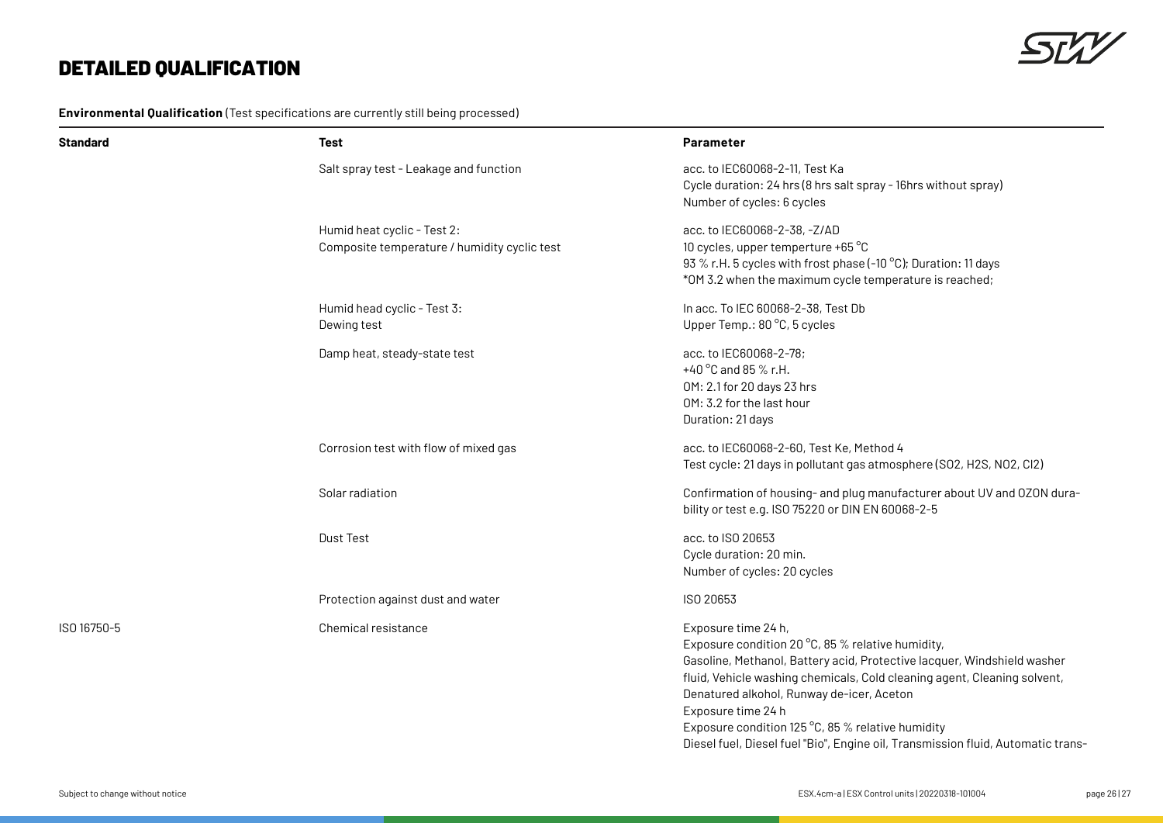**Environmental Qualification** (Test specifications are currently still being processed)

| Standard    | Test                                                                        | <b>Parameter</b>                                                                                                                                                                                                                                                                                                                                                                                                                            |
|-------------|-----------------------------------------------------------------------------|---------------------------------------------------------------------------------------------------------------------------------------------------------------------------------------------------------------------------------------------------------------------------------------------------------------------------------------------------------------------------------------------------------------------------------------------|
|             | Salt spray test - Leakage and function                                      | acc. to IEC60068-2-11, Test Ka<br>Cycle duration: 24 hrs (8 hrs salt spray - 16 hrs without spray)<br>Number of cycles: 6 cycles                                                                                                                                                                                                                                                                                                            |
|             | Humid heat cyclic - Test 2:<br>Composite temperature / humidity cyclic test | acc. to IEC60068-2-38, -Z/AD<br>10 cycles, upper temperture +65 °C<br>93 % r.H. 5 cycles with frost phase (-10 °C); Duration: 11 days<br>*OM 3.2 when the maximum cycle temperature is reached;                                                                                                                                                                                                                                             |
|             | Humid head cyclic - Test 3:<br>Dewing test                                  | In acc. To IEC 60068-2-38, Test Db<br>Upper Temp.: 80 °C, 5 cycles                                                                                                                                                                                                                                                                                                                                                                          |
|             | Damp heat, steady-state test                                                | acc. to IEC60068-2-78;<br>+40 °C and 85 % r.H.<br>OM: 2.1 for 20 days 23 hrs<br>OM: 3.2 for the last hour<br>Duration: 21 days                                                                                                                                                                                                                                                                                                              |
|             | Corrosion test with flow of mixed gas                                       | acc. to IEC60068-2-60, Test Ke, Method 4<br>Test cycle: 21 days in pollutant gas atmosphere (SO2, H2S, NO2, CI2)                                                                                                                                                                                                                                                                                                                            |
|             | Solar radiation                                                             | Confirmation of housing- and plug manufacturer about UV and OZON dura-<br>bility or test e.g. ISO 75220 or DIN EN 60068-2-5                                                                                                                                                                                                                                                                                                                 |
|             | Dust Test                                                                   | acc. to ISO 20653<br>Cycle duration: 20 min.<br>Number of cycles: 20 cycles                                                                                                                                                                                                                                                                                                                                                                 |
|             | Protection against dust and water                                           | ISO 20653                                                                                                                                                                                                                                                                                                                                                                                                                                   |
| ISO 16750-5 | Chemical resistance                                                         | Exposure time 24 h,<br>Exposure condition 20 °C, 85 % relative humidity,<br>Gasoline, Methanol, Battery acid, Protective lacquer, Windshield washer<br>fluid, Vehicle washing chemicals, Cold cleaning agent, Cleaning solvent,<br>Denatured alkohol, Runway de-icer, Aceton<br>Exposure time 24 h<br>Exposure condition 125 °C, 85 % relative humidity<br>Diesel fuel, Diesel fuel "Bio", Engine oil, Transmission fluid, Automatic trans- |